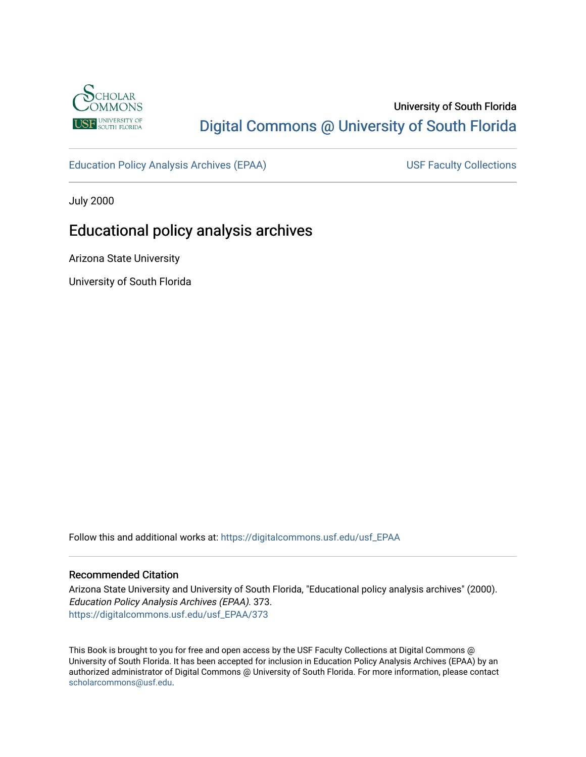

# University of South Florida [Digital Commons @ University of South Florida](https://digitalcommons.usf.edu/)

[Education Policy Analysis Archives \(EPAA\)](https://digitalcommons.usf.edu/usf_EPAA) USF Faculty Collections

July 2000

# Educational policy analysis archives

Arizona State University

University of South Florida

Follow this and additional works at: [https://digitalcommons.usf.edu/usf\\_EPAA](https://digitalcommons.usf.edu/usf_EPAA?utm_source=digitalcommons.usf.edu%2Fusf_EPAA%2F373&utm_medium=PDF&utm_campaign=PDFCoverPages)

### Recommended Citation

Arizona State University and University of South Florida, "Educational policy analysis archives" (2000). Education Policy Analysis Archives (EPAA). 373. [https://digitalcommons.usf.edu/usf\\_EPAA/373](https://digitalcommons.usf.edu/usf_EPAA/373?utm_source=digitalcommons.usf.edu%2Fusf_EPAA%2F373&utm_medium=PDF&utm_campaign=PDFCoverPages)

This Book is brought to you for free and open access by the USF Faculty Collections at Digital Commons @ University of South Florida. It has been accepted for inclusion in Education Policy Analysis Archives (EPAA) by an authorized administrator of Digital Commons @ University of South Florida. For more information, please contact [scholarcommons@usf.edu.](mailto:scholarcommons@usf.edu)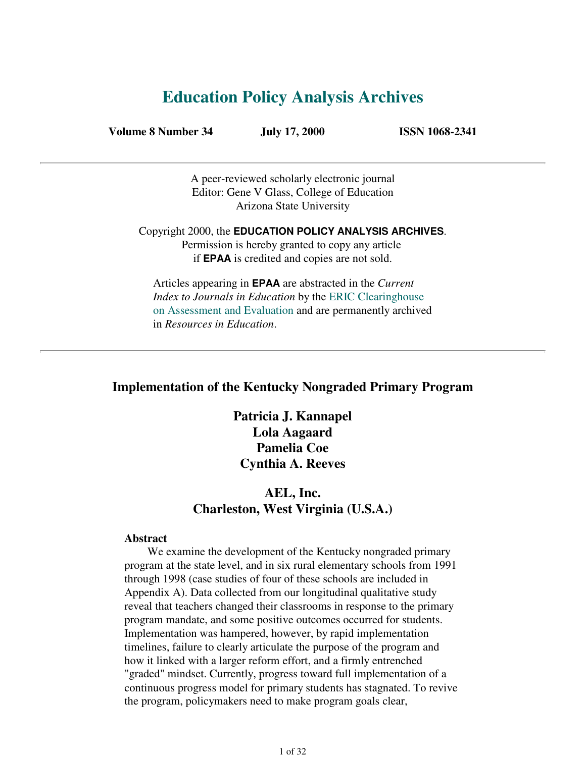# **Education Policy Analysis Archives**

**Volume 8 Number 34 July 17, 2000 ISSN 1068-2341**

A peer-reviewed scholarly electronic journal Editor: Gene V Glass, College of Education Arizona State University

Copyright 2000, the **EDUCATION POLICY ANALYSIS ARCHIVES**. Permission is hereby granted to copy any article if **EPAA** is credited and copies are not sold.

Articles appearing in **EPAA** are abstracted in the *Current Index to Journals in Education* by the ERIC Clearinghouse on Assessment and Evaluation and are permanently archived in *Resources in Education*.

### **Implementation of the Kentucky Nongraded Primary Program**

**Patricia J. Kannapel Lola Aagaard Pamelia Coe Cynthia A. Reeves**

## **AEL, Inc. Charleston, West Virginia (U.S.A.)**

### **Abstract**

 We examine the development of the Kentucky nongraded primary program at the state level, and in six rural elementary schools from 1991 through 1998 (case studies of four of these schools are included in Appendix A). Data collected from our longitudinal qualitative study reveal that teachers changed their classrooms in response to the primary program mandate, and some positive outcomes occurred for students. Implementation was hampered, however, by rapid implementation timelines, failure to clearly articulate the purpose of the program and how it linked with a larger reform effort, and a firmly entrenched "graded" mindset. Currently, progress toward full implementation of a continuous progress model for primary students has stagnated. To revive the program, policymakers need to make program goals clear,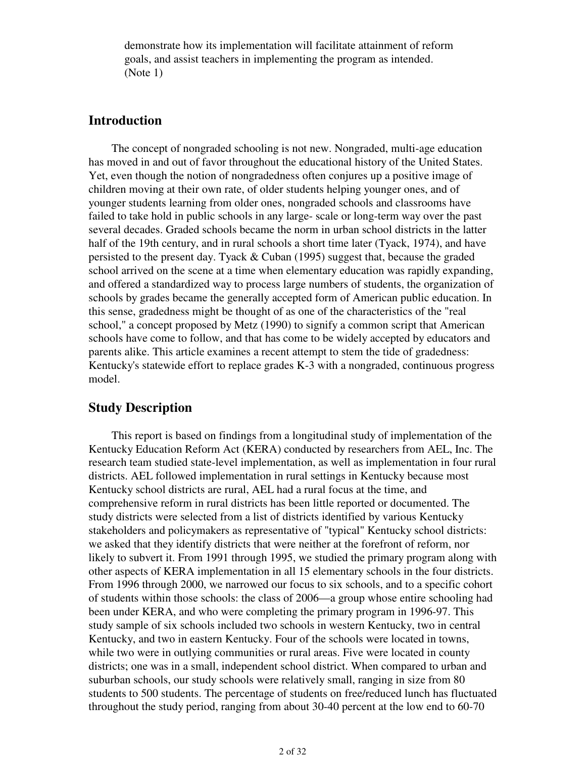demonstrate how its implementation will facilitate attainment of reform goals, and assist teachers in implementing the program as intended. (Note 1)

## **Introduction**

 The concept of nongraded schooling is not new. Nongraded, multi-age education has moved in and out of favor throughout the educational history of the United States. Yet, even though the notion of nongradedness often conjures up a positive image of children moving at their own rate, of older students helping younger ones, and of younger students learning from older ones, nongraded schools and classrooms have failed to take hold in public schools in any large- scale or long-term way over the past several decades. Graded schools became the norm in urban school districts in the latter half of the 19th century, and in rural schools a short time later (Tyack, 1974), and have persisted to the present day. Tyack & Cuban (1995) suggest that, because the graded school arrived on the scene at a time when elementary education was rapidly expanding, and offered a standardized way to process large numbers of students, the organization of schools by grades became the generally accepted form of American public education. In this sense, gradedness might be thought of as one of the characteristics of the "real school," a concept proposed by Metz (1990) to signify a common script that American schools have come to follow, and that has come to be widely accepted by educators and parents alike. This article examines a recent attempt to stem the tide of gradedness: Kentucky's statewide effort to replace grades K-3 with a nongraded, continuous progress model.

## **Study Description**

 This report is based on findings from a longitudinal study of implementation of the Kentucky Education Reform Act (KERA) conducted by researchers from AEL, Inc. The research team studied state-level implementation, as well as implementation in four rural districts. AEL followed implementation in rural settings in Kentucky because most Kentucky school districts are rural, AEL had a rural focus at the time, and comprehensive reform in rural districts has been little reported or documented. The study districts were selected from a list of districts identified by various Kentucky stakeholders and policymakers as representative of "typical" Kentucky school districts: we asked that they identify districts that were neither at the forefront of reform, nor likely to subvert it. From 1991 through 1995, we studied the primary program along with other aspects of KERA implementation in all 15 elementary schools in the four districts. From 1996 through 2000, we narrowed our focus to six schools, and to a specific cohort of students within those schools: the class of 2006—a group whose entire schooling had been under KERA, and who were completing the primary program in 1996-97. This study sample of six schools included two schools in western Kentucky, two in central Kentucky, and two in eastern Kentucky. Four of the schools were located in towns, while two were in outlying communities or rural areas. Five were located in county districts; one was in a small, independent school district. When compared to urban and suburban schools, our study schools were relatively small, ranging in size from 80 students to 500 students. The percentage of students on free/reduced lunch has fluctuated throughout the study period, ranging from about 30-40 percent at the low end to 60-70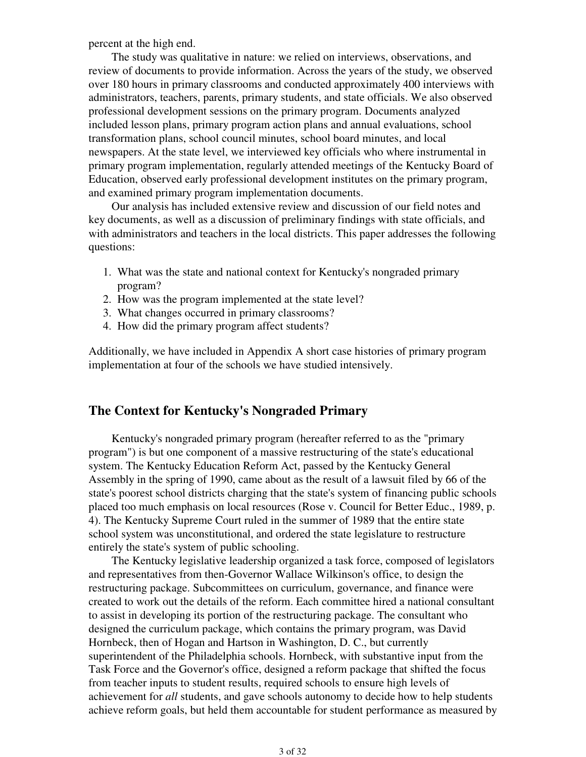percent at the high end.

 The study was qualitative in nature: we relied on interviews, observations, and review of documents to provide information. Across the years of the study, we observed over 180 hours in primary classrooms and conducted approximately 400 interviews with administrators, teachers, parents, primary students, and state officials. We also observed professional development sessions on the primary program. Documents analyzed included lesson plans, primary program action plans and annual evaluations, school transformation plans, school council minutes, school board minutes, and local newspapers. At the state level, we interviewed key officials who where instrumental in primary program implementation, regularly attended meetings of the Kentucky Board of Education, observed early professional development institutes on the primary program, and examined primary program implementation documents.

 Our analysis has included extensive review and discussion of our field notes and key documents, as well as a discussion of preliminary findings with state officials, and with administrators and teachers in the local districts. This paper addresses the following questions:

- What was the state and national context for Kentucky's nongraded primary 1. program?
- 2. How was the program implemented at the state level?
- 3. What changes occurred in primary classrooms?
- 4. How did the primary program affect students?

Additionally, we have included in Appendix A short case histories of primary program implementation at four of the schools we have studied intensively.

## **The Context for Kentucky's Nongraded Primary**

 Kentucky's nongraded primary program (hereafter referred to as the "primary program") is but one component of a massive restructuring of the state's educational system. The Kentucky Education Reform Act, passed by the Kentucky General Assembly in the spring of 1990, came about as the result of a lawsuit filed by 66 of the state's poorest school districts charging that the state's system of financing public schools placed too much emphasis on local resources (Rose v. Council for Better Educ., 1989, p. 4). The Kentucky Supreme Court ruled in the summer of 1989 that the entire state school system was unconstitutional, and ordered the state legislature to restructure entirely the state's system of public schooling.

 The Kentucky legislative leadership organized a task force, composed of legislators and representatives from then-Governor Wallace Wilkinson's office, to design the restructuring package. Subcommittees on curriculum, governance, and finance were created to work out the details of the reform. Each committee hired a national consultant to assist in developing its portion of the restructuring package. The consultant who designed the curriculum package, which contains the primary program, was David Hornbeck, then of Hogan and Hartson in Washington, D. C., but currently superintendent of the Philadelphia schools. Hornbeck, with substantive input from the Task Force and the Governor's office, designed a reform package that shifted the focus from teacher inputs to student results, required schools to ensure high levels of achievement for *all* students, and gave schools autonomy to decide how to help students achieve reform goals, but held them accountable for student performance as measured by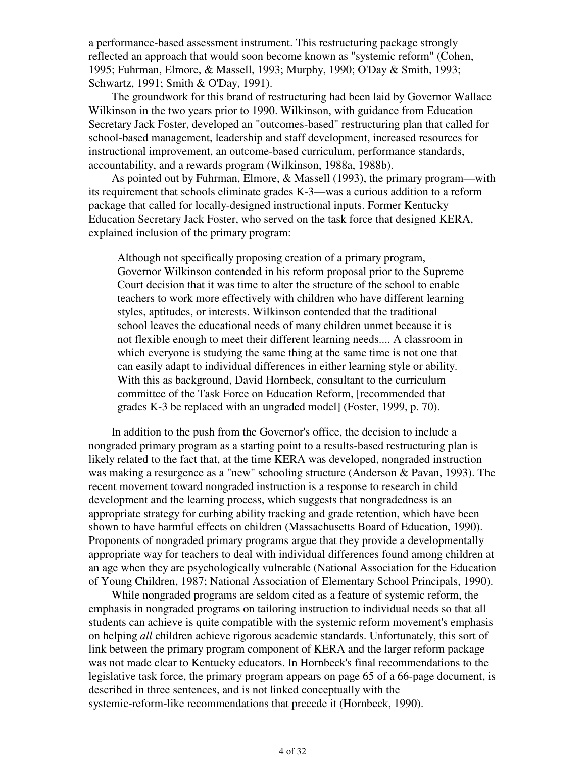a performance-based assessment instrument. This restructuring package strongly reflected an approach that would soon become known as "systemic reform" (Cohen, 1995; Fuhrman, Elmore, & Massell, 1993; Murphy, 1990; O'Day & Smith, 1993; Schwartz, 1991; Smith & O'Day, 1991).

 The groundwork for this brand of restructuring had been laid by Governor Wallace Wilkinson in the two years prior to 1990. Wilkinson, with guidance from Education Secretary Jack Foster, developed an "outcomes-based" restructuring plan that called for school-based management, leadership and staff development, increased resources for instructional improvement, an outcome-based curriculum, performance standards, accountability, and a rewards program (Wilkinson, 1988a, 1988b).

 As pointed out by Fuhrman, Elmore, & Massell (1993), the primary program—with its requirement that schools eliminate grades K-3—was a curious addition to a reform package that called for locally-designed instructional inputs. Former Kentucky Education Secretary Jack Foster, who served on the task force that designed KERA, explained inclusion of the primary program:

Although not specifically proposing creation of a primary program, Governor Wilkinson contended in his reform proposal prior to the Supreme Court decision that it was time to alter the structure of the school to enable teachers to work more effectively with children who have different learning styles, aptitudes, or interests. Wilkinson contended that the traditional school leaves the educational needs of many children unmet because it is not flexible enough to meet their different learning needs.... A classroom in which everyone is studying the same thing at the same time is not one that can easily adapt to individual differences in either learning style or ability. With this as background, David Hornbeck, consultant to the curriculum committee of the Task Force on Education Reform, [recommended that grades K-3 be replaced with an ungraded model] (Foster, 1999, p. 70).

 In addition to the push from the Governor's office, the decision to include a nongraded primary program as a starting point to a results-based restructuring plan is likely related to the fact that, at the time KERA was developed, nongraded instruction was making a resurgence as a "new" schooling structure (Anderson & Pavan, 1993). The recent movement toward nongraded instruction is a response to research in child development and the learning process, which suggests that nongradedness is an appropriate strategy for curbing ability tracking and grade retention, which have been shown to have harmful effects on children (Massachusetts Board of Education, 1990). Proponents of nongraded primary programs argue that they provide a developmentally appropriate way for teachers to deal with individual differences found among children at an age when they are psychologically vulnerable (National Association for the Education of Young Children, 1987; National Association of Elementary School Principals, 1990).

 While nongraded programs are seldom cited as a feature of systemic reform, the emphasis in nongraded programs on tailoring instruction to individual needs so that all students can achieve is quite compatible with the systemic reform movement's emphasis on helping *all* children achieve rigorous academic standards. Unfortunately, this sort of link between the primary program component of KERA and the larger reform package was not made clear to Kentucky educators. In Hornbeck's final recommendations to the legislative task force, the primary program appears on page 65 of a 66-page document, is described in three sentences, and is not linked conceptually with the systemic-reform-like recommendations that precede it (Hornbeck, 1990).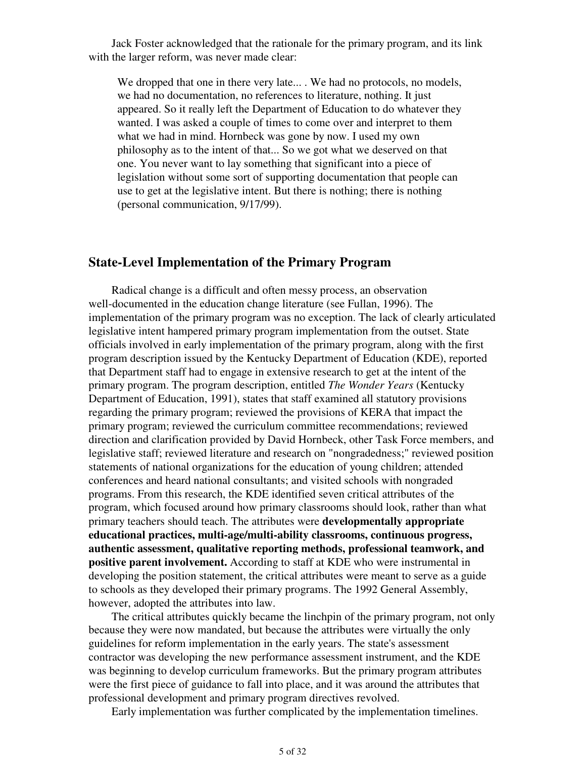Jack Foster acknowledged that the rationale for the primary program, and its link with the larger reform, was never made clear:

We dropped that one in there very late... . We had no protocols, no models, we had no documentation, no references to literature, nothing. It just appeared. So it really left the Department of Education to do whatever they wanted. I was asked a couple of times to come over and interpret to them what we had in mind. Hornbeck was gone by now. I used my own philosophy as to the intent of that... So we got what we deserved on that one. You never want to lay something that significant into a piece of legislation without some sort of supporting documentation that people can use to get at the legislative intent. But there is nothing; there is nothing (personal communication, 9/17/99).

### **State-Level Implementation of the Primary Program**

 Radical change is a difficult and often messy process, an observation well-documented in the education change literature (see Fullan, 1996). The implementation of the primary program was no exception. The lack of clearly articulated legislative intent hampered primary program implementation from the outset. State officials involved in early implementation of the primary program, along with the first program description issued by the Kentucky Department of Education (KDE), reported that Department staff had to engage in extensive research to get at the intent of the primary program. The program description, entitled *The Wonder Years* (Kentucky Department of Education, 1991), states that staff examined all statutory provisions regarding the primary program; reviewed the provisions of KERA that impact the primary program; reviewed the curriculum committee recommendations; reviewed direction and clarification provided by David Hornbeck, other Task Force members, and legislative staff; reviewed literature and research on "nongradedness;" reviewed position statements of national organizations for the education of young children; attended conferences and heard national consultants; and visited schools with nongraded programs. From this research, the KDE identified seven critical attributes of the program, which focused around how primary classrooms should look, rather than what primary teachers should teach. The attributes were **developmentally appropriate educational practices, multi-age/multi-ability classrooms, continuous progress, authentic assessment, qualitative reporting methods, professional teamwork, and positive parent involvement.** According to staff at KDE who were instrumental in developing the position statement, the critical attributes were meant to serve as a guide to schools as they developed their primary programs. The 1992 General Assembly, however, adopted the attributes into law.

 The critical attributes quickly became the linchpin of the primary program, not only because they were now mandated, but because the attributes were virtually the only guidelines for reform implementation in the early years. The state's assessment contractor was developing the new performance assessment instrument, and the KDE was beginning to develop curriculum frameworks. But the primary program attributes were the first piece of guidance to fall into place, and it was around the attributes that professional development and primary program directives revolved.

Early implementation was further complicated by the implementation timelines.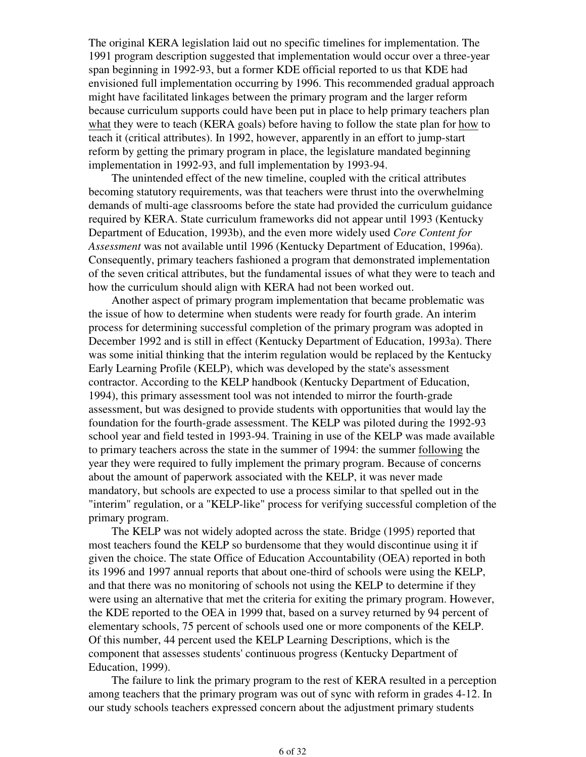The original KERA legislation laid out no specific timelines for implementation. The 1991 program description suggested that implementation would occur over a three-year span beginning in 1992-93, but a former KDE official reported to us that KDE had envisioned full implementation occurring by 1996. This recommended gradual approach might have facilitated linkages between the primary program and the larger reform because curriculum supports could have been put in place to help primary teachers plan what they were to teach (KERA goals) before having to follow the state plan for how to teach it (critical attributes). In 1992, however, apparently in an effort to jump-start reform by getting the primary program in place, the legislature mandated beginning implementation in 1992-93, and full implementation by 1993-94.

 The unintended effect of the new timeline, coupled with the critical attributes becoming statutory requirements, was that teachers were thrust into the overwhelming demands of multi-age classrooms before the state had provided the curriculum guidance required by KERA. State curriculum frameworks did not appear until 1993 (Kentucky Department of Education, 1993b), and the even more widely used *Core Content for Assessment* was not available until 1996 (Kentucky Department of Education, 1996a). Consequently, primary teachers fashioned a program that demonstrated implementation of the seven critical attributes, but the fundamental issues of what they were to teach and how the curriculum should align with KERA had not been worked out.

 Another aspect of primary program implementation that became problematic was the issue of how to determine when students were ready for fourth grade. An interim process for determining successful completion of the primary program was adopted in December 1992 and is still in effect (Kentucky Department of Education, 1993a). There was some initial thinking that the interim regulation would be replaced by the Kentucky Early Learning Profile (KELP), which was developed by the state's assessment contractor. According to the KELP handbook (Kentucky Department of Education, 1994), this primary assessment tool was not intended to mirror the fourth-grade assessment, but was designed to provide students with opportunities that would lay the foundation for the fourth-grade assessment. The KELP was piloted during the 1992-93 school year and field tested in 1993-94. Training in use of the KELP was made available to primary teachers across the state in the summer of 1994: the summer following the year they were required to fully implement the primary program. Because of concerns about the amount of paperwork associated with the KELP, it was never made mandatory, but schools are expected to use a process similar to that spelled out in the "interim" regulation, or a "KELP-like" process for verifying successful completion of the primary program.

 The KELP was not widely adopted across the state. Bridge (1995) reported that most teachers found the KELP so burdensome that they would discontinue using it if given the choice. The state Office of Education Accountability (OEA) reported in both its 1996 and 1997 annual reports that about one-third of schools were using the KELP, and that there was no monitoring of schools not using the KELP to determine if they were using an alternative that met the criteria for exiting the primary program. However, the KDE reported to the OEA in 1999 that, based on a survey returned by 94 percent of elementary schools, 75 percent of schools used one or more components of the KELP. Of this number, 44 percent used the KELP Learning Descriptions, which is the component that assesses students' continuous progress (Kentucky Department of Education, 1999).

 The failure to link the primary program to the rest of KERA resulted in a perception among teachers that the primary program was out of sync with reform in grades 4-12. In our study schools teachers expressed concern about the adjustment primary students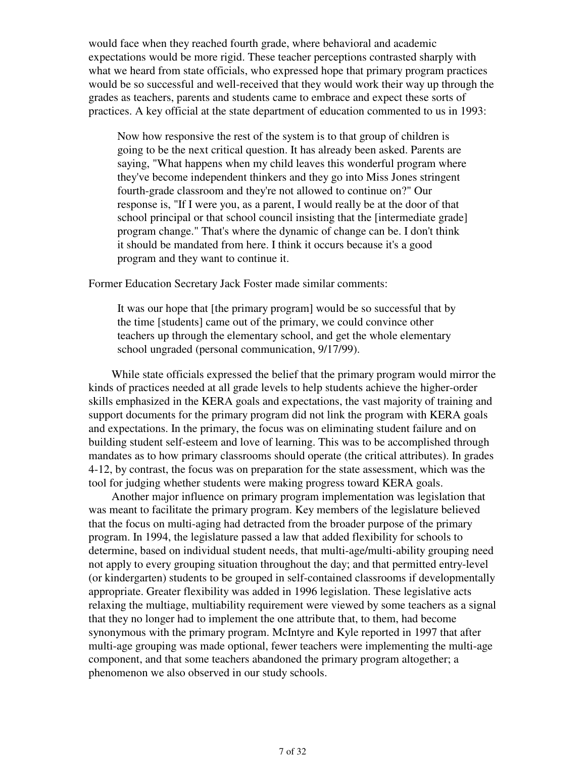would face when they reached fourth grade, where behavioral and academic expectations would be more rigid. These teacher perceptions contrasted sharply with what we heard from state officials, who expressed hope that primary program practices would be so successful and well-received that they would work their way up through the grades as teachers, parents and students came to embrace and expect these sorts of practices. A key official at the state department of education commented to us in 1993:

Now how responsive the rest of the system is to that group of children is going to be the next critical question. It has already been asked. Parents are saying, "What happens when my child leaves this wonderful program where they've become independent thinkers and they go into Miss Jones stringent fourth-grade classroom and they're not allowed to continue on?" Our response is, "If I were you, as a parent, I would really be at the door of that school principal or that school council insisting that the [intermediate grade] program change." That's where the dynamic of change can be. I don't think it should be mandated from here. I think it occurs because it's a good program and they want to continue it.

Former Education Secretary Jack Foster made similar comments:

It was our hope that [the primary program] would be so successful that by the time [students] came out of the primary, we could convince other teachers up through the elementary school, and get the whole elementary school ungraded (personal communication, 9/17/99).

 While state officials expressed the belief that the primary program would mirror the kinds of practices needed at all grade levels to help students achieve the higher-order skills emphasized in the KERA goals and expectations, the vast majority of training and support documents for the primary program did not link the program with KERA goals and expectations. In the primary, the focus was on eliminating student failure and on building student self-esteem and love of learning. This was to be accomplished through mandates as to how primary classrooms should operate (the critical attributes). In grades 4-12, by contrast, the focus was on preparation for the state assessment, which was the tool for judging whether students were making progress toward KERA goals.

 Another major influence on primary program implementation was legislation that was meant to facilitate the primary program. Key members of the legislature believed that the focus on multi-aging had detracted from the broader purpose of the primary program. In 1994, the legislature passed a law that added flexibility for schools to determine, based on individual student needs, that multi-age/multi-ability grouping need not apply to every grouping situation throughout the day; and that permitted entry-level (or kindergarten) students to be grouped in self-contained classrooms if developmentally appropriate. Greater flexibility was added in 1996 legislation. These legislative acts relaxing the multiage, multiability requirement were viewed by some teachers as a signal that they no longer had to implement the one attribute that, to them, had become synonymous with the primary program. McIntyre and Kyle reported in 1997 that after multi-age grouping was made optional, fewer teachers were implementing the multi-age component, and that some teachers abandoned the primary program altogether; a phenomenon we also observed in our study schools.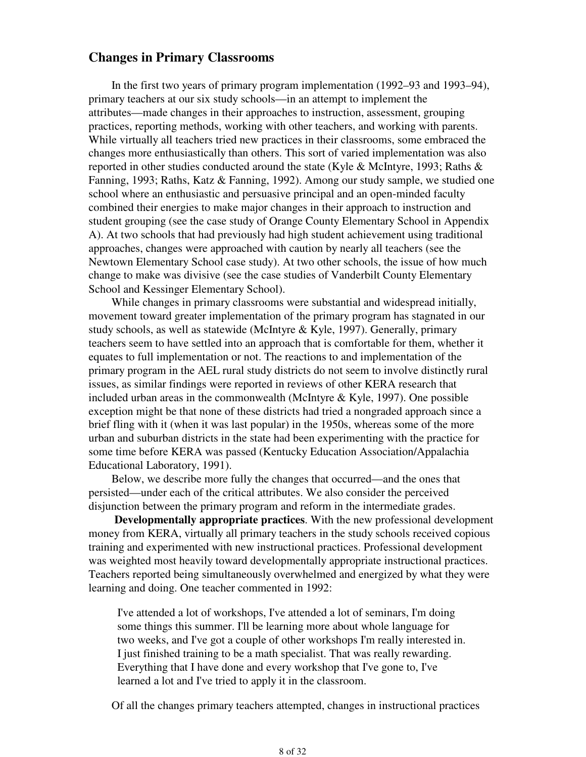## **Changes in Primary Classrooms**

 In the first two years of primary program implementation (1992–93 and 1993–94), primary teachers at our six study schools—in an attempt to implement the attributes—made changes in their approaches to instruction, assessment, grouping practices, reporting methods, working with other teachers, and working with parents. While virtually all teachers tried new practices in their classrooms, some embraced the changes more enthusiastically than others. This sort of varied implementation was also reported in other studies conducted around the state (Kyle & McIntyre, 1993; Raths  $\&$ Fanning, 1993; Raths, Katz & Fanning, 1992). Among our study sample, we studied one school where an enthusiastic and persuasive principal and an open-minded faculty combined their energies to make major changes in their approach to instruction and student grouping (see the case study of Orange County Elementary School in Appendix A). At two schools that had previously had high student achievement using traditional approaches, changes were approached with caution by nearly all teachers (see the Newtown Elementary School case study). At two other schools, the issue of how much change to make was divisive (see the case studies of Vanderbilt County Elementary School and Kessinger Elementary School).

 While changes in primary classrooms were substantial and widespread initially, movement toward greater implementation of the primary program has stagnated in our study schools, as well as statewide (McIntyre & Kyle, 1997). Generally, primary teachers seem to have settled into an approach that is comfortable for them, whether it equates to full implementation or not. The reactions to and implementation of the primary program in the AEL rural study districts do not seem to involve distinctly rural issues, as similar findings were reported in reviews of other KERA research that included urban areas in the commonwealth (McIntyre & Kyle, 1997). One possible exception might be that none of these districts had tried a nongraded approach since a brief fling with it (when it was last popular) in the 1950s, whereas some of the more urban and suburban districts in the state had been experimenting with the practice for some time before KERA was passed (Kentucky Education Association/Appalachia Educational Laboratory, 1991).

 Below, we describe more fully the changes that occurred—and the ones that persisted—under each of the critical attributes. We also consider the perceived disjunction between the primary program and reform in the intermediate grades.

 **Developmentally appropriate practices**. With the new professional development money from KERA, virtually all primary teachers in the study schools received copious training and experimented with new instructional practices. Professional development was weighted most heavily toward developmentally appropriate instructional practices. Teachers reported being simultaneously overwhelmed and energized by what they were learning and doing. One teacher commented in 1992:

I've attended a lot of workshops, I've attended a lot of seminars, I'm doing some things this summer. I'll be learning more about whole language for two weeks, and I've got a couple of other workshops I'm really interested in. I just finished training to be a math specialist. That was really rewarding. Everything that I have done and every workshop that I've gone to, I've learned a lot and I've tried to apply it in the classroom.

Of all the changes primary teachers attempted, changes in instructional practices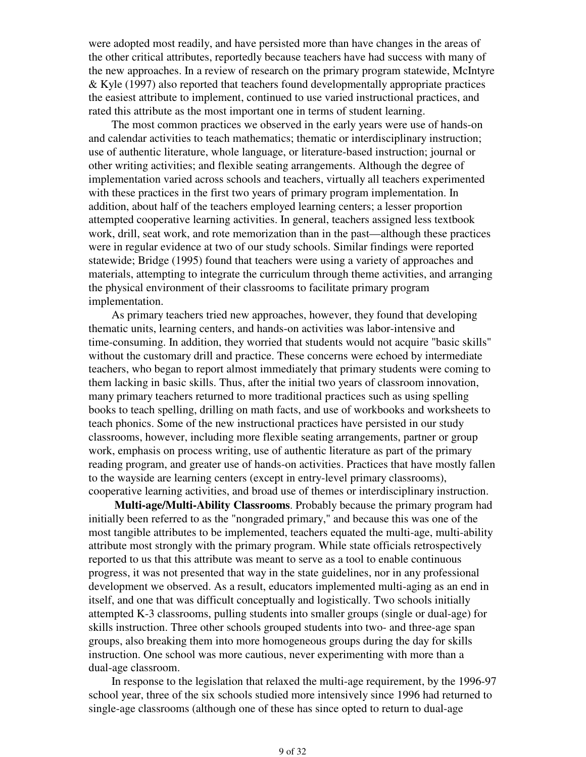were adopted most readily, and have persisted more than have changes in the areas of the other critical attributes, reportedly because teachers have had success with many of the new approaches. In a review of research on the primary program statewide, McIntyre & Kyle (1997) also reported that teachers found developmentally appropriate practices the easiest attribute to implement, continued to use varied instructional practices, and rated this attribute as the most important one in terms of student learning.

 The most common practices we observed in the early years were use of hands-on and calendar activities to teach mathematics; thematic or interdisciplinary instruction; use of authentic literature, whole language, or literature-based instruction; journal or other writing activities; and flexible seating arrangements. Although the degree of implementation varied across schools and teachers, virtually all teachers experimented with these practices in the first two years of primary program implementation. In addition, about half of the teachers employed learning centers; a lesser proportion attempted cooperative learning activities. In general, teachers assigned less textbook work, drill, seat work, and rote memorization than in the past—although these practices were in regular evidence at two of our study schools. Similar findings were reported statewide; Bridge (1995) found that teachers were using a variety of approaches and materials, attempting to integrate the curriculum through theme activities, and arranging the physical environment of their classrooms to facilitate primary program implementation.

 As primary teachers tried new approaches, however, they found that developing thematic units, learning centers, and hands-on activities was labor-intensive and time-consuming. In addition, they worried that students would not acquire "basic skills" without the customary drill and practice. These concerns were echoed by intermediate teachers, who began to report almost immediately that primary students were coming to them lacking in basic skills. Thus, after the initial two years of classroom innovation, many primary teachers returned to more traditional practices such as using spelling books to teach spelling, drilling on math facts, and use of workbooks and worksheets to teach phonics. Some of the new instructional practices have persisted in our study classrooms, however, including more flexible seating arrangements, partner or group work, emphasis on process writing, use of authentic literature as part of the primary reading program, and greater use of hands-on activities. Practices that have mostly fallen to the wayside are learning centers (except in entry-level primary classrooms), cooperative learning activities, and broad use of themes or interdisciplinary instruction.

 **Multi-age/Multi-Ability Classrooms**. Probably because the primary program had initially been referred to as the "nongraded primary," and because this was one of the most tangible attributes to be implemented, teachers equated the multi-age, multi-ability attribute most strongly with the primary program. While state officials retrospectively reported to us that this attribute was meant to serve as a tool to enable continuous progress, it was not presented that way in the state guidelines, nor in any professional development we observed. As a result, educators implemented multi-aging as an end in itself, and one that was difficult conceptually and logistically. Two schools initially attempted K-3 classrooms, pulling students into smaller groups (single or dual-age) for skills instruction. Three other schools grouped students into two- and three-age span groups, also breaking them into more homogeneous groups during the day for skills instruction. One school was more cautious, never experimenting with more than a dual-age classroom.

 In response to the legislation that relaxed the multi-age requirement, by the 1996-97 school year, three of the six schools studied more intensively since 1996 had returned to single-age classrooms (although one of these has since opted to return to dual-age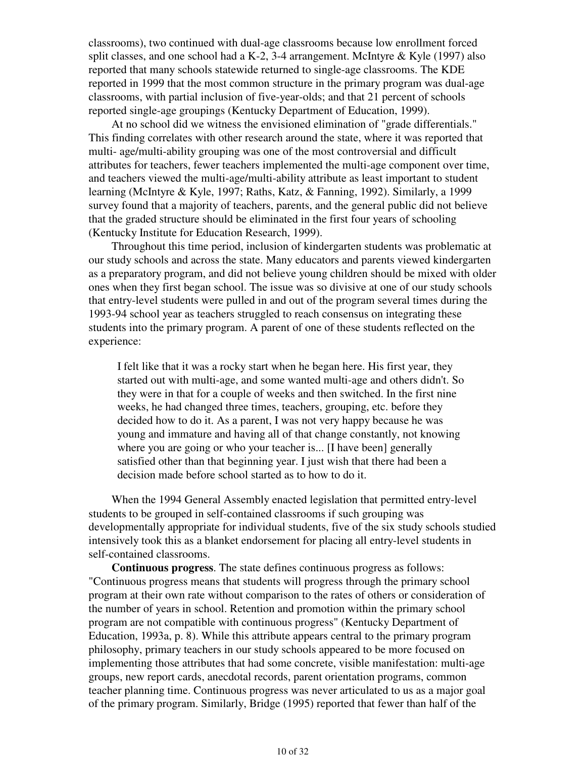classrooms), two continued with dual-age classrooms because low enrollment forced split classes, and one school had a K-2, 3-4 arrangement. McIntyre & Kyle (1997) also reported that many schools statewide returned to single-age classrooms. The KDE reported in 1999 that the most common structure in the primary program was dual-age classrooms, with partial inclusion of five-year-olds; and that 21 percent of schools reported single-age groupings (Kentucky Department of Education, 1999).

 At no school did we witness the envisioned elimination of "grade differentials." This finding correlates with other research around the state, where it was reported that multi- age/multi-ability grouping was one of the most controversial and difficult attributes for teachers, fewer teachers implemented the multi-age component over time, and teachers viewed the multi-age/multi-ability attribute as least important to student learning (McIntyre & Kyle, 1997; Raths, Katz, & Fanning, 1992). Similarly, a 1999 survey found that a majority of teachers, parents, and the general public did not believe that the graded structure should be eliminated in the first four years of schooling (Kentucky Institute for Education Research, 1999).

 Throughout this time period, inclusion of kindergarten students was problematic at our study schools and across the state. Many educators and parents viewed kindergarten as a preparatory program, and did not believe young children should be mixed with older ones when they first began school. The issue was so divisive at one of our study schools that entry-level students were pulled in and out of the program several times during the 1993-94 school year as teachers struggled to reach consensus on integrating these students into the primary program. A parent of one of these students reflected on the experience:

I felt like that it was a rocky start when he began here. His first year, they started out with multi-age, and some wanted multi-age and others didn't. So they were in that for a couple of weeks and then switched. In the first nine weeks, he had changed three times, teachers, grouping, etc. before they decided how to do it. As a parent, I was not very happy because he was young and immature and having all of that change constantly, not knowing where you are going or who your teacher is... [I have been] generally satisfied other than that beginning year. I just wish that there had been a decision made before school started as to how to do it.

 When the 1994 General Assembly enacted legislation that permitted entry-level students to be grouped in self-contained classrooms if such grouping was developmentally appropriate for individual students, five of the six study schools studied intensively took this as a blanket endorsement for placing all entry-level students in self-contained classrooms.

 **Continuous progress**. The state defines continuous progress as follows: "Continuous progress means that students will progress through the primary school program at their own rate without comparison to the rates of others or consideration of the number of years in school. Retention and promotion within the primary school program are not compatible with continuous progress" (Kentucky Department of Education, 1993a, p. 8). While this attribute appears central to the primary program philosophy, primary teachers in our study schools appeared to be more focused on implementing those attributes that had some concrete, visible manifestation: multi-age groups, new report cards, anecdotal records, parent orientation programs, common teacher planning time. Continuous progress was never articulated to us as a major goal of the primary program. Similarly, Bridge (1995) reported that fewer than half of the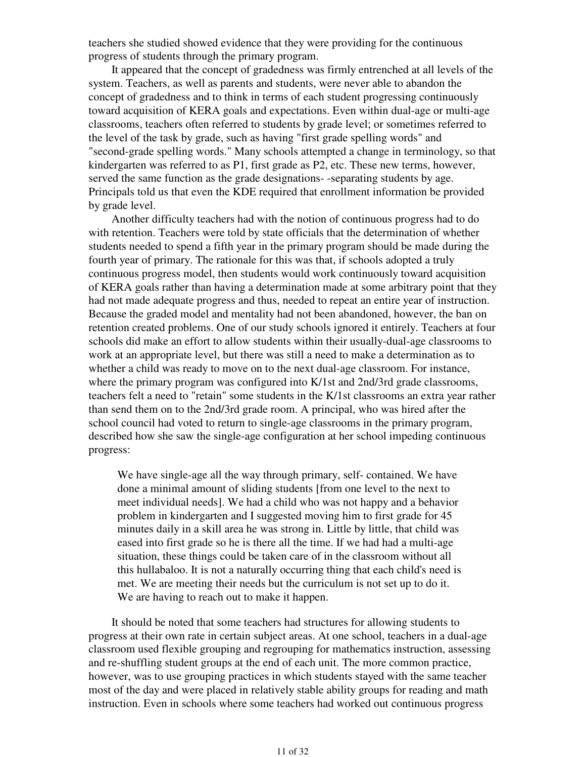teachers she studied showed evidence that they were providing for the continuous progress of students through the primary program.

 It appeared that the concept of gradedness was firmly entrenched at all levels of the system. Teachers, as well as parents and students, were never able to abandon the concept of gradedness and to think in terms of each student progressing continuously toward acquisition of KERA goals and expectations. Even within dual-age or multi-age classrooms, teachers often referred to students by grade level; or sometimes referred to the level of the task by grade, such as having "first grade spelling words" and "second-grade spelling words." Many schools attempted a change in terminology, so that kindergarten was referred to as P1, first grade as P2, etc. These new terms, however, served the same function as the grade designations- -separating students by age. Principals told us that even the KDE required that enrollment information be provided by grade level.

 Another difficulty teachers had with the notion of continuous progress had to do with retention. Teachers were told by state officials that the determination of whether students needed to spend a fifth year in the primary program should be made during the fourth year of primary. The rationale for this was that, if schools adopted a truly continuous progress model, then students would work continuously toward acquisition of KERA goals rather than having a determination made at some arbitrary point that they had not made adequate progress and thus, needed to repeat an entire year of instruction. Because the graded model and mentality had not been abandoned, however, the ban on retention created problems. One of our study schools ignored it entirely. Teachers at four schools did make an effort to allow students within their usually-dual-age classrooms to work at an appropriate level, but there was still a need to make a determination as to whether a child was ready to move on to the next dual-age classroom. For instance, where the primary program was configured into K/1st and 2nd/3rd grade classrooms, teachers felt a need to "retain" some students in the K/1st classrooms an extra year rather than send them on to the 2nd/3rd grade room. A principal, who was hired after the school council had voted to return to single-age classrooms in the primary program, described how she saw the single-age configuration at her school impeding continuous progress:

We have single-age all the way through primary, self- contained. We have done a minimal amount of sliding students [from one level to the next to meet individual needs]. We had a child who was not happy and a behavior problem in kindergarten and I suggested moving him to first grade for 45 minutes daily in a skill area he was strong in. Little by little, that child was eased into first grade so he is there all the time. If we had had a multi-age situation, these things could be taken care of in the classroom without all this hullabaloo. It is not a naturally occurring thing that each child's need is met. We are meeting their needs but the curriculum is not set up to do it. We are having to reach out to make it happen.

 It should be noted that some teachers had structures for allowing students to progress at their own rate in certain subject areas. At one school, teachers in a dual-age classroom used flexible grouping and regrouping for mathematics instruction, assessing and re-shuffling student groups at the end of each unit. The more common practice, however, was to use grouping practices in which students stayed with the same teacher most of the day and were placed in relatively stable ability groups for reading and math instruction. Even in schools where some teachers had worked out continuous progress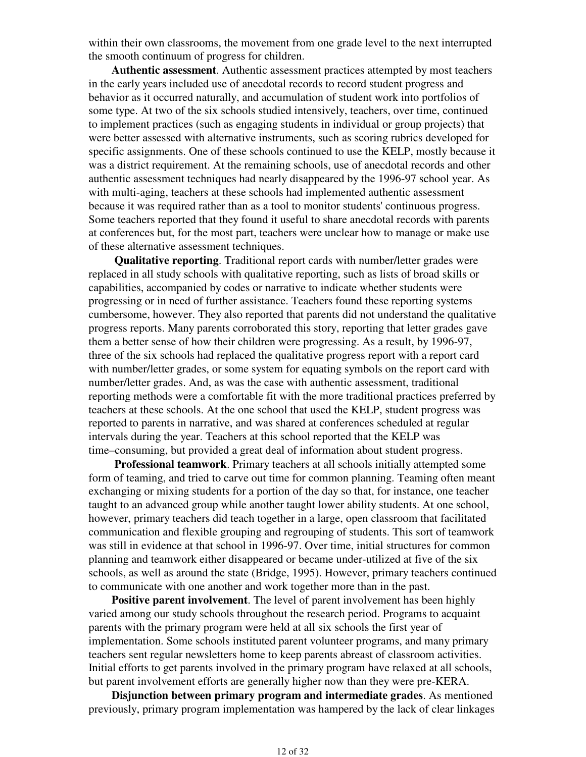within their own classrooms, the movement from one grade level to the next interrupted the smooth continuum of progress for children.

 **Authentic assessment**. Authentic assessment practices attempted by most teachers in the early years included use of anecdotal records to record student progress and behavior as it occurred naturally, and accumulation of student work into portfolios of some type. At two of the six schools studied intensively, teachers, over time, continued to implement practices (such as engaging students in individual or group projects) that were better assessed with alternative instruments, such as scoring rubrics developed for specific assignments. One of these schools continued to use the KELP, mostly because it was a district requirement. At the remaining schools, use of anecdotal records and other authentic assessment techniques had nearly disappeared by the 1996-97 school year. As with multi-aging, teachers at these schools had implemented authentic assessment because it was required rather than as a tool to monitor students' continuous progress. Some teachers reported that they found it useful to share anecdotal records with parents at conferences but, for the most part, teachers were unclear how to manage or make use of these alternative assessment techniques.

 **Qualitative reporting**. Traditional report cards with number/letter grades were replaced in all study schools with qualitative reporting, such as lists of broad skills or capabilities, accompanied by codes or narrative to indicate whether students were progressing or in need of further assistance. Teachers found these reporting systems cumbersome, however. They also reported that parents did not understand the qualitative progress reports. Many parents corroborated this story, reporting that letter grades gave them a better sense of how their children were progressing. As a result, by 1996-97, three of the six schools had replaced the qualitative progress report with a report card with number/letter grades, or some system for equating symbols on the report card with number/letter grades. And, as was the case with authentic assessment, traditional reporting methods were a comfortable fit with the more traditional practices preferred by teachers at these schools. At the one school that used the KELP, student progress was reported to parents in narrative, and was shared at conferences scheduled at regular intervals during the year. Teachers at this school reported that the KELP was time–consuming, but provided a great deal of information about student progress.

 **Professional teamwork**. Primary teachers at all schools initially attempted some form of teaming, and tried to carve out time for common planning. Teaming often meant exchanging or mixing students for a portion of the day so that, for instance, one teacher taught to an advanced group while another taught lower ability students. At one school, however, primary teachers did teach together in a large, open classroom that facilitated communication and flexible grouping and regrouping of students. This sort of teamwork was still in evidence at that school in 1996-97. Over time, initial structures for common planning and teamwork either disappeared or became under-utilized at five of the six schools, as well as around the state (Bridge, 1995). However, primary teachers continued to communicate with one another and work together more than in the past.

 **Positive parent involvement**. The level of parent involvement has been highly varied among our study schools throughout the research period. Programs to acquaint parents with the primary program were held at all six schools the first year of implementation. Some schools instituted parent volunteer programs, and many primary teachers sent regular newsletters home to keep parents abreast of classroom activities. Initial efforts to get parents involved in the primary program have relaxed at all schools, but parent involvement efforts are generally higher now than they were pre-KERA.

 **Disjunction between primary program and intermediate grades**. As mentioned previously, primary program implementation was hampered by the lack of clear linkages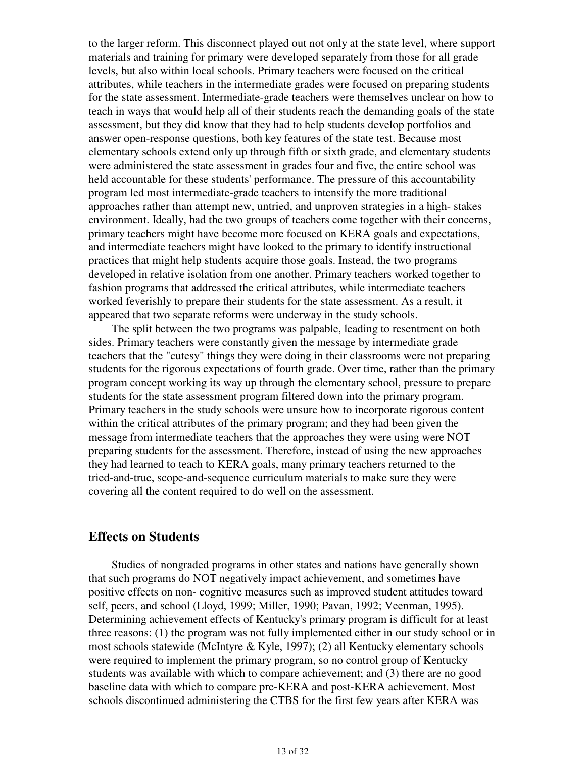to the larger reform. This disconnect played out not only at the state level, where support materials and training for primary were developed separately from those for all grade levels, but also within local schools. Primary teachers were focused on the critical attributes, while teachers in the intermediate grades were focused on preparing students for the state assessment. Intermediate-grade teachers were themselves unclear on how to teach in ways that would help all of their students reach the demanding goals of the state assessment, but they did know that they had to help students develop portfolios and answer open-response questions, both key features of the state test. Because most elementary schools extend only up through fifth or sixth grade, and elementary students were administered the state assessment in grades four and five, the entire school was held accountable for these students' performance. The pressure of this accountability program led most intermediate-grade teachers to intensify the more traditional approaches rather than attempt new, untried, and unproven strategies in a high- stakes environment. Ideally, had the two groups of teachers come together with their concerns, primary teachers might have become more focused on KERA goals and expectations, and intermediate teachers might have looked to the primary to identify instructional practices that might help students acquire those goals. Instead, the two programs developed in relative isolation from one another. Primary teachers worked together to fashion programs that addressed the critical attributes, while intermediate teachers worked feverishly to prepare their students for the state assessment. As a result, it appeared that two separate reforms were underway in the study schools.

 The split between the two programs was palpable, leading to resentment on both sides. Primary teachers were constantly given the message by intermediate grade teachers that the "cutesy" things they were doing in their classrooms were not preparing students for the rigorous expectations of fourth grade. Over time, rather than the primary program concept working its way up through the elementary school, pressure to prepare students for the state assessment program filtered down into the primary program. Primary teachers in the study schools were unsure how to incorporate rigorous content within the critical attributes of the primary program; and they had been given the message from intermediate teachers that the approaches they were using were NOT preparing students for the assessment. Therefore, instead of using the new approaches they had learned to teach to KERA goals, many primary teachers returned to the tried-and-true, scope-and-sequence curriculum materials to make sure they were covering all the content required to do well on the assessment.

## **Effects on Students**

 Studies of nongraded programs in other states and nations have generally shown that such programs do NOT negatively impact achievement, and sometimes have positive effects on non- cognitive measures such as improved student attitudes toward self, peers, and school (Lloyd, 1999; Miller, 1990; Pavan, 1992; Veenman, 1995). Determining achievement effects of Kentucky's primary program is difficult for at least three reasons: (1) the program was not fully implemented either in our study school or in most schools statewide (McIntyre & Kyle, 1997); (2) all Kentucky elementary schools were required to implement the primary program, so no control group of Kentucky students was available with which to compare achievement; and (3) there are no good baseline data with which to compare pre-KERA and post-KERA achievement. Most schools discontinued administering the CTBS for the first few years after KERA was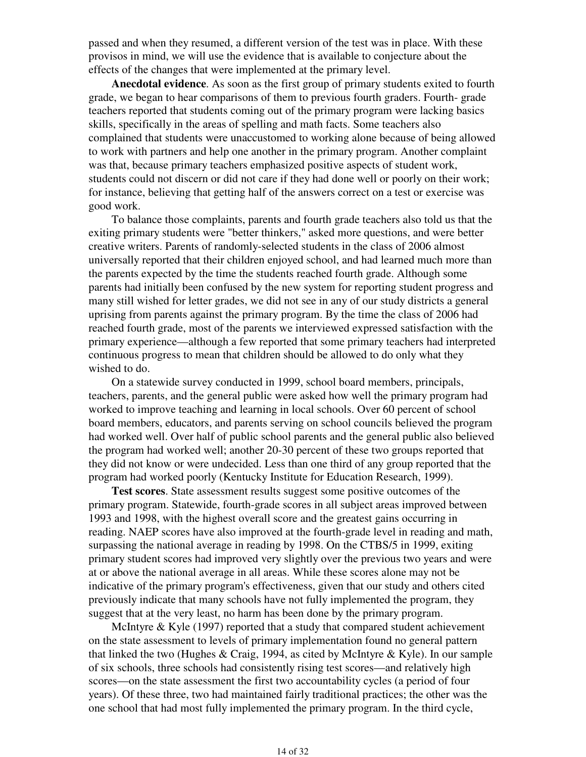passed and when they resumed, a different version of the test was in place. With these provisos in mind, we will use the evidence that is available to conjecture about the effects of the changes that were implemented at the primary level.

 **Anecdotal evidence**. As soon as the first group of primary students exited to fourth grade, we began to hear comparisons of them to previous fourth graders. Fourth- grade teachers reported that students coming out of the primary program were lacking basics skills, specifically in the areas of spelling and math facts. Some teachers also complained that students were unaccustomed to working alone because of being allowed to work with partners and help one another in the primary program. Another complaint was that, because primary teachers emphasized positive aspects of student work, students could not discern or did not care if they had done well or poorly on their work; for instance, believing that getting half of the answers correct on a test or exercise was good work.

 To balance those complaints, parents and fourth grade teachers also told us that the exiting primary students were "better thinkers," asked more questions, and were better creative writers. Parents of randomly-selected students in the class of 2006 almost universally reported that their children enjoyed school, and had learned much more than the parents expected by the time the students reached fourth grade. Although some parents had initially been confused by the new system for reporting student progress and many still wished for letter grades, we did not see in any of our study districts a general uprising from parents against the primary program. By the time the class of 2006 had reached fourth grade, most of the parents we interviewed expressed satisfaction with the primary experience—although a few reported that some primary teachers had interpreted continuous progress to mean that children should be allowed to do only what they wished to do.

 On a statewide survey conducted in 1999, school board members, principals, teachers, parents, and the general public were asked how well the primary program had worked to improve teaching and learning in local schools. Over 60 percent of school board members, educators, and parents serving on school councils believed the program had worked well. Over half of public school parents and the general public also believed the program had worked well; another 20-30 percent of these two groups reported that they did not know or were undecided. Less than one third of any group reported that the program had worked poorly (Kentucky Institute for Education Research, 1999).

 **Test scores**. State assessment results suggest some positive outcomes of the primary program. Statewide, fourth-grade scores in all subject areas improved between 1993 and 1998, with the highest overall score and the greatest gains occurring in reading. NAEP scores have also improved at the fourth-grade level in reading and math, surpassing the national average in reading by 1998. On the CTBS/5 in 1999, exiting primary student scores had improved very slightly over the previous two years and were at or above the national average in all areas. While these scores alone may not be indicative of the primary program's effectiveness, given that our study and others cited previously indicate that many schools have not fully implemented the program, they suggest that at the very least, no harm has been done by the primary program.

 McIntyre & Kyle (1997) reported that a study that compared student achievement on the state assessment to levels of primary implementation found no general pattern that linked the two (Hughes & Craig, 1994, as cited by McIntyre & Kyle). In our sample of six schools, three schools had consistently rising test scores—and relatively high scores—on the state assessment the first two accountability cycles (a period of four years). Of these three, two had maintained fairly traditional practices; the other was the one school that had most fully implemented the primary program. In the third cycle,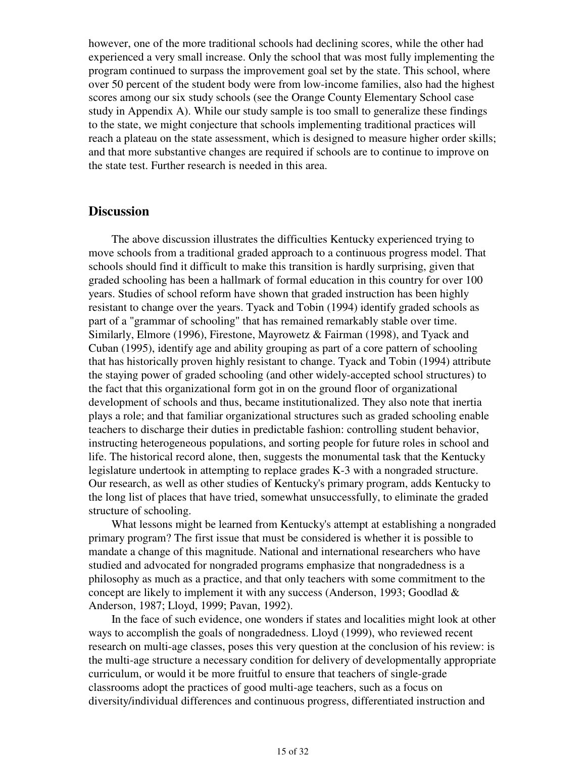however, one of the more traditional schools had declining scores, while the other had experienced a very small increase. Only the school that was most fully implementing the program continued to surpass the improvement goal set by the state. This school, where over 50 percent of the student body were from low-income families, also had the highest scores among our six study schools (see the Orange County Elementary School case study in Appendix A). While our study sample is too small to generalize these findings to the state, we might conjecture that schools implementing traditional practices will reach a plateau on the state assessment, which is designed to measure higher order skills; and that more substantive changes are required if schools are to continue to improve on the state test. Further research is needed in this area.

## **Discussion**

 The above discussion illustrates the difficulties Kentucky experienced trying to move schools from a traditional graded approach to a continuous progress model. That schools should find it difficult to make this transition is hardly surprising, given that graded schooling has been a hallmark of formal education in this country for over 100 years. Studies of school reform have shown that graded instruction has been highly resistant to change over the years. Tyack and Tobin (1994) identify graded schools as part of a "grammar of schooling" that has remained remarkably stable over time. Similarly, Elmore (1996), Firestone, Mayrowetz & Fairman (1998), and Tyack and Cuban (1995), identify age and ability grouping as part of a core pattern of schooling that has historically proven highly resistant to change. Tyack and Tobin (1994) attribute the staying power of graded schooling (and other widely-accepted school structures) to the fact that this organizational form got in on the ground floor of organizational development of schools and thus, became institutionalized. They also note that inertia plays a role; and that familiar organizational structures such as graded schooling enable teachers to discharge their duties in predictable fashion: controlling student behavior, instructing heterogeneous populations, and sorting people for future roles in school and life. The historical record alone, then, suggests the monumental task that the Kentucky legislature undertook in attempting to replace grades K-3 with a nongraded structure. Our research, as well as other studies of Kentucky's primary program, adds Kentucky to the long list of places that have tried, somewhat unsuccessfully, to eliminate the graded structure of schooling.

 What lessons might be learned from Kentucky's attempt at establishing a nongraded primary program? The first issue that must be considered is whether it is possible to mandate a change of this magnitude. National and international researchers who have studied and advocated for nongraded programs emphasize that nongradedness is a philosophy as much as a practice, and that only teachers with some commitment to the concept are likely to implement it with any success (Anderson, 1993; Goodlad & Anderson, 1987; Lloyd, 1999; Pavan, 1992).

 In the face of such evidence, one wonders if states and localities might look at other ways to accomplish the goals of nongradedness. Lloyd (1999), who reviewed recent research on multi-age classes, poses this very question at the conclusion of his review: is the multi-age structure a necessary condition for delivery of developmentally appropriate curriculum, or would it be more fruitful to ensure that teachers of single-grade classrooms adopt the practices of good multi-age teachers, such as a focus on diversity/individual differences and continuous progress, differentiated instruction and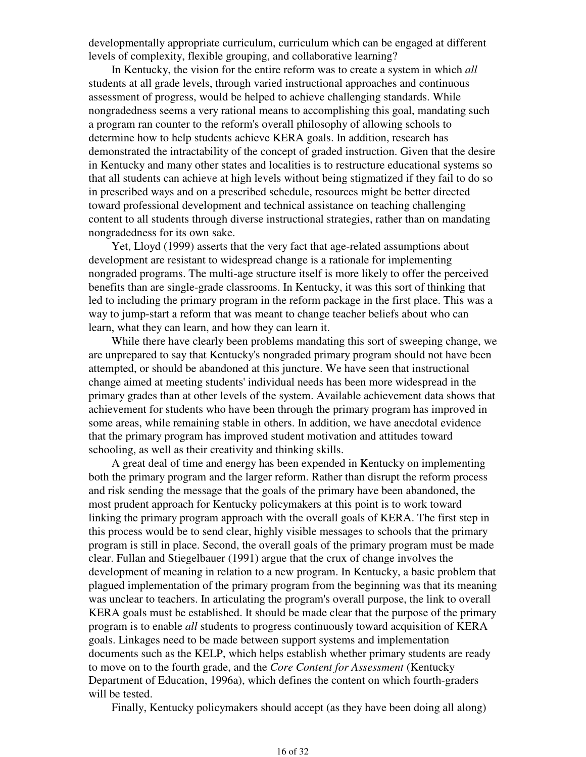developmentally appropriate curriculum, curriculum which can be engaged at different levels of complexity, flexible grouping, and collaborative learning?

 In Kentucky, the vision for the entire reform was to create a system in which *all* students at all grade levels, through varied instructional approaches and continuous assessment of progress, would be helped to achieve challenging standards. While nongradedness seems a very rational means to accomplishing this goal, mandating such a program ran counter to the reform's overall philosophy of allowing schools to determine how to help students achieve KERA goals. In addition, research has demonstrated the intractability of the concept of graded instruction. Given that the desire in Kentucky and many other states and localities is to restructure educational systems so that all students can achieve at high levels without being stigmatized if they fail to do so in prescribed ways and on a prescribed schedule, resources might be better directed toward professional development and technical assistance on teaching challenging content to all students through diverse instructional strategies, rather than on mandating nongradedness for its own sake.

 Yet, Lloyd (1999) asserts that the very fact that age-related assumptions about development are resistant to widespread change is a rationale for implementing nongraded programs. The multi-age structure itself is more likely to offer the perceived benefits than are single-grade classrooms. In Kentucky, it was this sort of thinking that led to including the primary program in the reform package in the first place. This was a way to jump-start a reform that was meant to change teacher beliefs about who can learn, what they can learn, and how they can learn it.

 While there have clearly been problems mandating this sort of sweeping change, we are unprepared to say that Kentucky's nongraded primary program should not have been attempted, or should be abandoned at this juncture. We have seen that instructional change aimed at meeting students' individual needs has been more widespread in the primary grades than at other levels of the system. Available achievement data shows that achievement for students who have been through the primary program has improved in some areas, while remaining stable in others. In addition, we have anecdotal evidence that the primary program has improved student motivation and attitudes toward schooling, as well as their creativity and thinking skills.

 A great deal of time and energy has been expended in Kentucky on implementing both the primary program and the larger reform. Rather than disrupt the reform process and risk sending the message that the goals of the primary have been abandoned, the most prudent approach for Kentucky policymakers at this point is to work toward linking the primary program approach with the overall goals of KERA. The first step in this process would be to send clear, highly visible messages to schools that the primary program is still in place. Second, the overall goals of the primary program must be made clear. Fullan and Stiegelbauer (1991) argue that the crux of change involves the development of meaning in relation to a new program. In Kentucky, a basic problem that plagued implementation of the primary program from the beginning was that its meaning was unclear to teachers. In articulating the program's overall purpose, the link to overall KERA goals must be established. It should be made clear that the purpose of the primary program is to enable *all* students to progress continuously toward acquisition of KERA goals. Linkages need to be made between support systems and implementation documents such as the KELP, which helps establish whether primary students are ready to move on to the fourth grade, and the *Core Content for Assessment* (Kentucky Department of Education, 1996a), which defines the content on which fourth-graders will be tested.

Finally, Kentucky policymakers should accept (as they have been doing all along)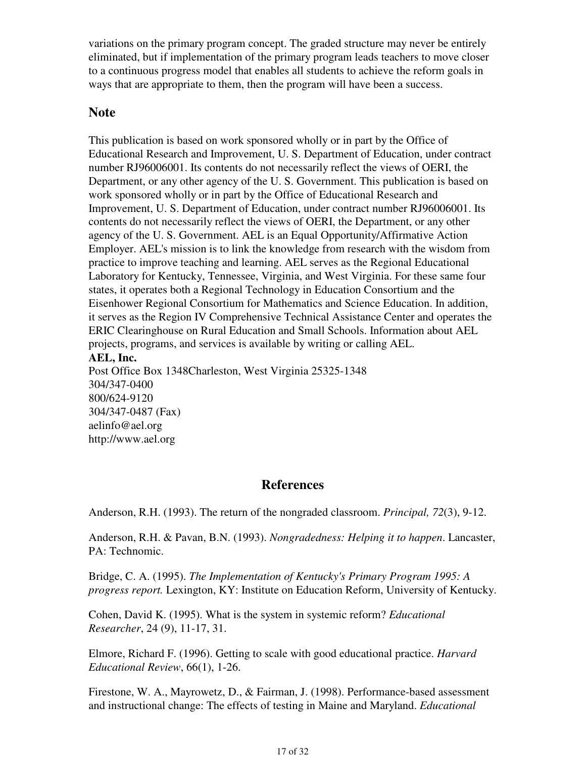variations on the primary program concept. The graded structure may never be entirely eliminated, but if implementation of the primary program leads teachers to move closer to a continuous progress model that enables all students to achieve the reform goals in ways that are appropriate to them, then the program will have been a success.

## **Note**

This publication is based on work sponsored wholly or in part by the Office of Educational Research and Improvement, U. S. Department of Education, under contract number RJ96006001. Its contents do not necessarily reflect the views of OERI, the Department, or any other agency of the U. S. Government. This publication is based on work sponsored wholly or in part by the Office of Educational Research and Improvement, U. S. Department of Education, under contract number RJ96006001. Its contents do not necessarily reflect the views of OERI, the Department, or any other agency of the U. S. Government. AEL is an Equal Opportunity/Affirmative Action Employer. AEL's mission is to link the knowledge from research with the wisdom from practice to improve teaching and learning. AEL serves as the Regional Educational Laboratory for Kentucky, Tennessee, Virginia, and West Virginia. For these same four states, it operates both a Regional Technology in Education Consortium and the Eisenhower Regional Consortium for Mathematics and Science Education. In addition, it serves as the Region IV Comprehensive Technical Assistance Center and operates the ERIC Clearinghouse on Rural Education and Small Schools. Information about AEL projects, programs, and services is available by writing or calling AEL. **AEL, Inc.** Post Office Box 1348Charleston, West Virginia 25325-1348 304/347-0400

800/624-9120 304/347-0487 (Fax) aelinfo@ael.org http://www.ael.org

## **References**

Anderson, R.H. (1993). The return of the nongraded classroom. *Principal, 72*(3), 9-12.

Anderson, R.H. & Pavan, B.N. (1993). *Nongradedness: Helping it to happen*. Lancaster, PA: Technomic.

Bridge, C. A. (1995). *The Implementation of Kentucky's Primary Program 1995: A progress report.* Lexington, KY: Institute on Education Reform, University of Kentucky.

Cohen, David K. (1995). What is the system in systemic reform? *Educational Researcher*, 24 (9), 11-17, 31.

Elmore, Richard F. (1996). Getting to scale with good educational practice. *Harvard Educational Review*, 66(1), 1-26.

Firestone, W. A., Mayrowetz, D., & Fairman, J. (1998). Performance-based assessment and instructional change: The effects of testing in Maine and Maryland. *Educational*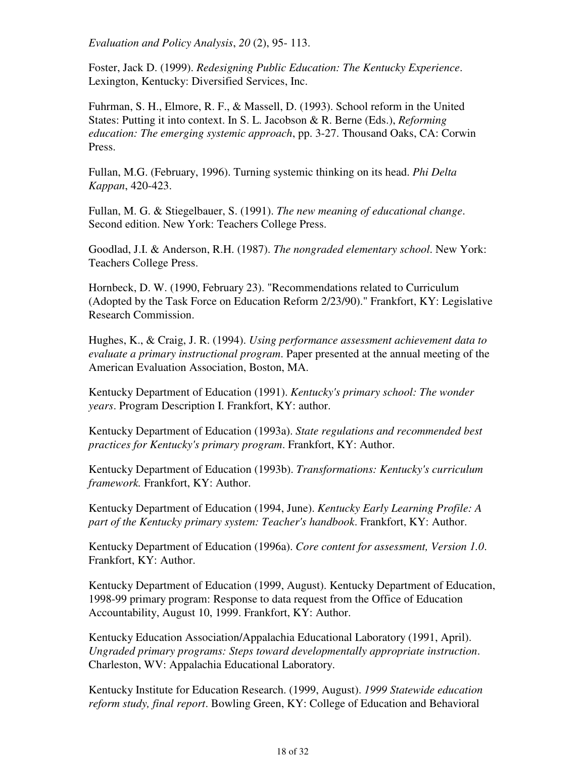*Evaluation and Policy Analysis*, *20* (2), 95- 113.

Foster, Jack D. (1999). *Redesigning Public Education: The Kentucky Experience*. Lexington, Kentucky: Diversified Services, Inc.

Fuhrman, S. H., Elmore, R. F., & Massell, D. (1993). School reform in the United States: Putting it into context. In S. L. Jacobson & R. Berne (Eds.), *Reforming education: The emerging systemic approach*, pp. 3-27. Thousand Oaks, CA: Corwin Press.

Fullan, M.G. (February, 1996). Turning systemic thinking on its head. *Phi Delta Kappan*, 420-423.

Fullan, M. G. & Stiegelbauer, S. (1991). *The new meaning of educational change*. Second edition. New York: Teachers College Press.

Goodlad, J.I. & Anderson, R.H. (1987). *The nongraded elementary school*. New York: Teachers College Press.

Hornbeck, D. W. (1990, February 23). "Recommendations related to Curriculum (Adopted by the Task Force on Education Reform 2/23/90)." Frankfort, KY: Legislative Research Commission.

Hughes, K., & Craig, J. R. (1994). *Using performance assessment achievement data to evaluate a primary instructional program*. Paper presented at the annual meeting of the American Evaluation Association, Boston, MA.

Kentucky Department of Education (1991). *Kentucky's primary school: The wonder years*. Program Description I. Frankfort, KY: author.

Kentucky Department of Education (1993a). *State regulations and recommended best practices for Kentucky's primary program*. Frankfort, KY: Author.

Kentucky Department of Education (1993b). *Transformations: Kentucky's curriculum framework.* Frankfort, KY: Author.

Kentucky Department of Education (1994, June). *Kentucky Early Learning Profile: A part of the Kentucky primary system: Teacher's handbook*. Frankfort, KY: Author.

Kentucky Department of Education (1996a). *Core content for assessment, Version 1.0*. Frankfort, KY: Author.

Kentucky Department of Education (1999, August). Kentucky Department of Education, 1998-99 primary program: Response to data request from the Office of Education Accountability, August 10, 1999. Frankfort, KY: Author.

Kentucky Education Association/Appalachia Educational Laboratory (1991, April). *Ungraded primary programs: Steps toward developmentally appropriate instruction*. Charleston, WV: Appalachia Educational Laboratory.

Kentucky Institute for Education Research. (1999, August). *1999 Statewide education reform study, final report*. Bowling Green, KY: College of Education and Behavioral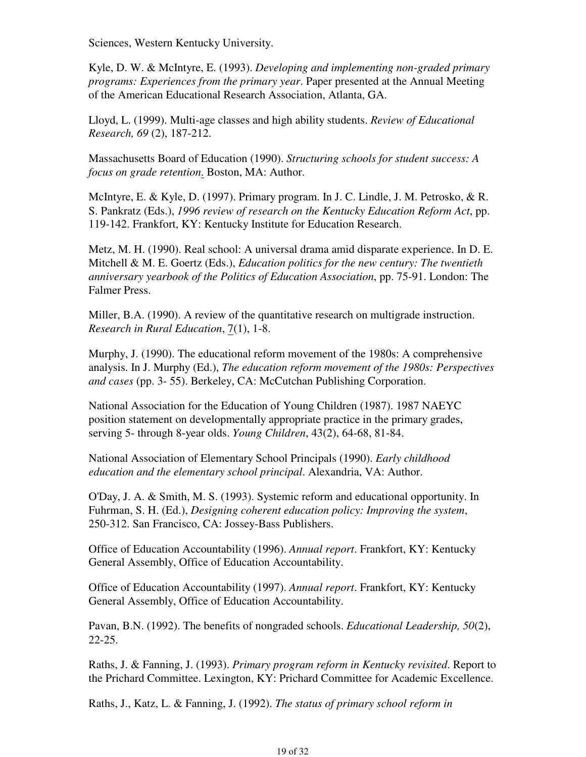Sciences, Western Kentucky University.

Kyle, D. W. & McIntyre, E. (1993). *Developing and implementing non-graded primary programs: Experiences from the primary year*. Paper presented at the Annual Meeting of the American Educational Research Association, Atlanta, GA.

Lloyd, L. (1999). Multi-age classes and high ability students. *Review of Educational Research, 69* (2), 187-212.

Massachusetts Board of Education (1990). *Structuring schools for student success: A focus on grade retention*. Boston, MA: Author.

McIntyre, E. & Kyle, D. (1997). Primary program. In J. C. Lindle, J. M. Petrosko, & R. S. Pankratz (Eds.), *1996 review of research on the Kentucky Education Reform Act*, pp. 119-142. Frankfort, KY: Kentucky Institute for Education Research.

Metz, M. H. (1990). Real school: A universal drama amid disparate experience. In D. E. Mitchell & M. E. Goertz (Eds.), *Education politics for the new century: The twentieth anniversary yearbook of the Politics of Education Association*, pp. 75-91. London: The Falmer Press.

Miller, B.A. (1990). A review of the quantitative research on multigrade instruction. *Research in Rural Education*, 7(1), 1-8.

Murphy, J. (1990). The educational reform movement of the 1980s: A comprehensive analysis. In J. Murphy (Ed.), *The education reform movement of the 1980s: Perspectives and cases* (pp. 3- 55). Berkeley, CA: McCutchan Publishing Corporation.

National Association for the Education of Young Children (1987). 1987 NAEYC position statement on developmentally appropriate practice in the primary grades, serving 5- through 8-year olds. *Young Children*, 43(2), 64-68, 81-84.

National Association of Elementary School Principals (1990). *Early childhood education and the elementary school principal*. Alexandria, VA: Author.

O'Day, J. A. & Smith, M. S. (1993). Systemic reform and educational opportunity. In Fuhrman, S. H. (Ed.), *Designing coherent education policy: Improving the system*, 250-312. San Francisco, CA: Jossey-Bass Publishers.

Office of Education Accountability (1996). *Annual report*. Frankfort, KY: Kentucky General Assembly, Office of Education Accountability.

Office of Education Accountability (1997). *Annual report*. Frankfort, KY: Kentucky General Assembly, Office of Education Accountability.

Pavan, B.N. (1992). The benefits of nongraded schools. *Educational Leadership, 50*(2), 22-25.

Raths, J. & Fanning, J. (1993). *Primary program reform in Kentucky revisited*. Report to the Prichard Committee. Lexington, KY: Prichard Committee for Academic Excellence.

Raths, J., Katz, L. & Fanning, J. (1992). *The status of primary school reform in*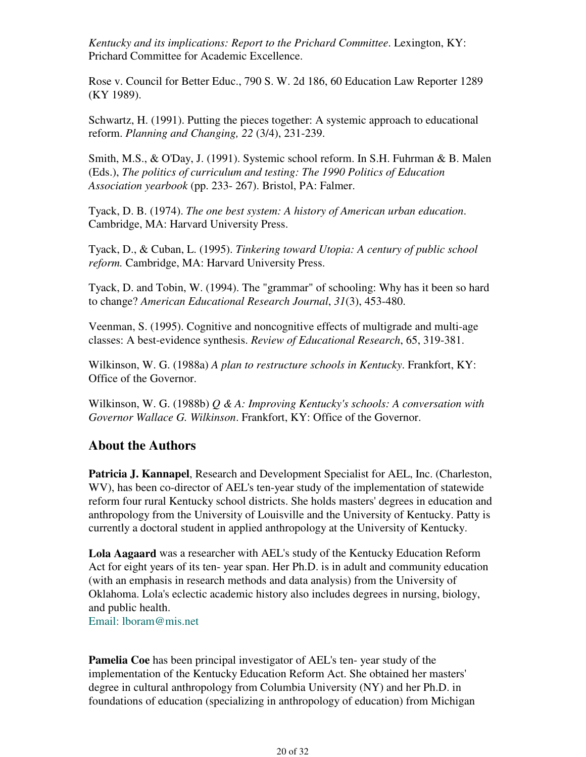*Kentucky and its implications: Report to the Prichard Committee*. Lexington, KY: Prichard Committee for Academic Excellence.

Rose v. Council for Better Educ., 790 S. W. 2d 186, 60 Education Law Reporter 1289 (KY 1989).

Schwartz, H. (1991). Putting the pieces together: A systemic approach to educational reform. *Planning and Changing, 22* (3/4), 231-239.

Smith, M.S., & O'Day, J. (1991). Systemic school reform. In S.H. Fuhrman & B. Malen (Eds.), *The politics of curriculum and testing: The 1990 Politics of Education Association yearbook* (pp. 233- 267). Bristol, PA: Falmer.

Tyack, D. B. (1974). *The one best system: A history of American urban education*. Cambridge, MA: Harvard University Press.

Tyack, D., & Cuban, L. (1995). *Tinkering toward Utopia: A century of public school reform.* Cambridge, MA: Harvard University Press.

Tyack, D. and Tobin, W. (1994). The "grammar" of schooling: Why has it been so hard to change? *American Educational Research Journal*, *31*(3), 453-480.

Veenman, S. (1995). Cognitive and noncognitive effects of multigrade and multi-age classes: A best-evidence synthesis. *Review of Educational Research*, 65, 319-381.

Wilkinson, W. G. (1988a) *A plan to restructure schools in Kentucky*. Frankfort, KY: Office of the Governor.

Wilkinson, W. G. (1988b) *Q & A: Improving Kentucky's schools: A conversation with Governor Wallace G. Wilkinson*. Frankfort, KY: Office of the Governor.

## **About the Authors**

**Patricia J. Kannapel**, Research and Development Specialist for AEL, Inc. (Charleston, WV), has been co-director of AEL's ten-year study of the implementation of statewide reform four rural Kentucky school districts. She holds masters' degrees in education and anthropology from the University of Louisville and the University of Kentucky. Patty is currently a doctoral student in applied anthropology at the University of Kentucky.

**Lola Aagaard** was a researcher with AEL's study of the Kentucky Education Reform Act for eight years of its ten- year span. Her Ph.D. is in adult and community education (with an emphasis in research methods and data analysis) from the University of Oklahoma. Lola's eclectic academic history also includes degrees in nursing, biology, and public health.

Email: lboram@mis.net

**Pamelia Coe** has been principal investigator of AEL's ten- year study of the implementation of the Kentucky Education Reform Act. She obtained her masters' degree in cultural anthropology from Columbia University (NY) and her Ph.D. in foundations of education (specializing in anthropology of education) from Michigan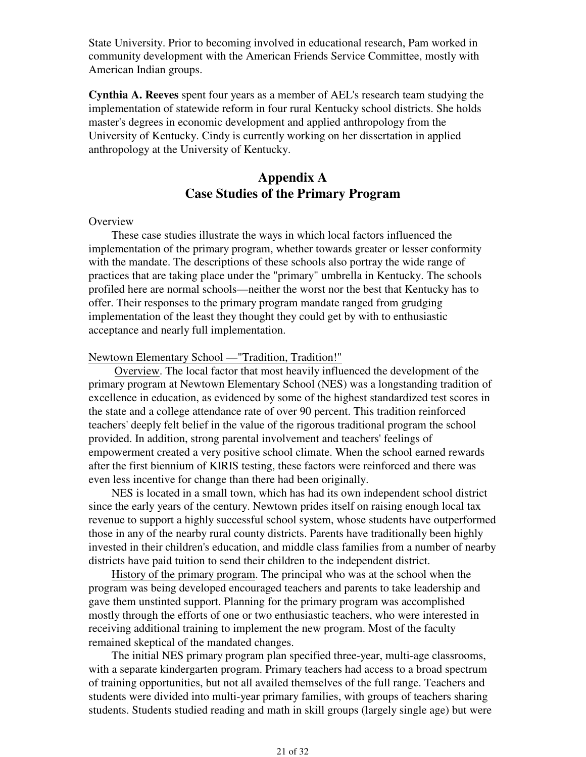State University. Prior to becoming involved in educational research, Pam worked in community development with the American Friends Service Committee, mostly with American Indian groups.

**Cynthia A. Reeves** spent four years as a member of AEL's research team studying the implementation of statewide reform in four rural Kentucky school districts. She holds master's degrees in economic development and applied anthropology from the University of Kentucky. Cindy is currently working on her dissertation in applied anthropology at the University of Kentucky.

## **Appendix A Case Studies of the Primary Program**

#### **Overview**

 These case studies illustrate the ways in which local factors influenced the implementation of the primary program, whether towards greater or lesser conformity with the mandate. The descriptions of these schools also portray the wide range of practices that are taking place under the "primary" umbrella in Kentucky. The schools profiled here are normal schools—neither the worst nor the best that Kentucky has to offer. Their responses to the primary program mandate ranged from grudging implementation of the least they thought they could get by with to enthusiastic acceptance and nearly full implementation.

### Newtown Elementary School —"Tradition, Tradition!"

 Overview. The local factor that most heavily influenced the development of the primary program at Newtown Elementary School (NES) was a longstanding tradition of excellence in education, as evidenced by some of the highest standardized test scores in the state and a college attendance rate of over 90 percent. This tradition reinforced teachers' deeply felt belief in the value of the rigorous traditional program the school provided. In addition, strong parental involvement and teachers' feelings of empowerment created a very positive school climate. When the school earned rewards after the first biennium of KIRIS testing, these factors were reinforced and there was even less incentive for change than there had been originally.

 NES is located in a small town, which has had its own independent school district since the early years of the century. Newtown prides itself on raising enough local tax revenue to support a highly successful school system, whose students have outperformed those in any of the nearby rural county districts. Parents have traditionally been highly invested in their children's education, and middle class families from a number of nearby districts have paid tuition to send their children to the independent district.

 History of the primary program. The principal who was at the school when the program was being developed encouraged teachers and parents to take leadership and gave them unstinted support. Planning for the primary program was accomplished mostly through the efforts of one or two enthusiastic teachers, who were interested in receiving additional training to implement the new program. Most of the faculty remained skeptical of the mandated changes.

 The initial NES primary program plan specified three-year, multi-age classrooms, with a separate kindergarten program. Primary teachers had access to a broad spectrum of training opportunities, but not all availed themselves of the full range. Teachers and students were divided into multi-year primary families, with groups of teachers sharing students. Students studied reading and math in skill groups (largely single age) but were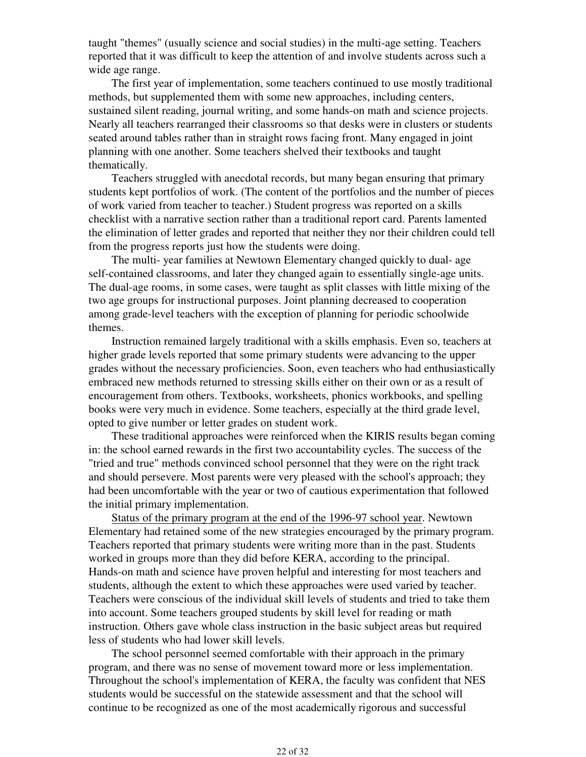taught "themes" (usually science and social studies) in the multi-age setting. Teachers reported that it was difficult to keep the attention of and involve students across such a wide age range.

 The first year of implementation, some teachers continued to use mostly traditional methods, but supplemented them with some new approaches, including centers, sustained silent reading, journal writing, and some hands-on math and science projects. Nearly all teachers rearranged their classrooms so that desks were in clusters or students seated around tables rather than in straight rows facing front. Many engaged in joint planning with one another. Some teachers shelved their textbooks and taught thematically.

 Teachers struggled with anecdotal records, but many began ensuring that primary students kept portfolios of work. (The content of the portfolios and the number of pieces of work varied from teacher to teacher.) Student progress was reported on a skills checklist with a narrative section rather than a traditional report card. Parents lamented the elimination of letter grades and reported that neither they nor their children could tell from the progress reports just how the students were doing.

 The multi- year families at Newtown Elementary changed quickly to dual- age self-contained classrooms, and later they changed again to essentially single-age units. The dual-age rooms, in some cases, were taught as split classes with little mixing of the two age groups for instructional purposes. Joint planning decreased to cooperation among grade-level teachers with the exception of planning for periodic schoolwide themes.

 Instruction remained largely traditional with a skills emphasis. Even so, teachers at higher grade levels reported that some primary students were advancing to the upper grades without the necessary proficiencies. Soon, even teachers who had enthusiastically embraced new methods returned to stressing skills either on their own or as a result of encouragement from others. Textbooks, worksheets, phonics workbooks, and spelling books were very much in evidence. Some teachers, especially at the third grade level, opted to give number or letter grades on student work.

 These traditional approaches were reinforced when the KIRIS results began coming in: the school earned rewards in the first two accountability cycles. The success of the "tried and true" methods convinced school personnel that they were on the right track and should persevere. Most parents were very pleased with the school's approach; they had been uncomfortable with the year or two of cautious experimentation that followed the initial primary implementation.

 Status of the primary program at the end of the 1996-97 school year. Newtown Elementary had retained some of the new strategies encouraged by the primary program. Teachers reported that primary students were writing more than in the past. Students worked in groups more than they did before KERA, according to the principal. Hands-on math and science have proven helpful and interesting for most teachers and students, although the extent to which these approaches were used varied by teacher. Teachers were conscious of the individual skill levels of students and tried to take them into account. Some teachers grouped students by skill level for reading or math instruction. Others gave whole class instruction in the basic subject areas but required less of students who had lower skill levels.

 The school personnel seemed comfortable with their approach in the primary program, and there was no sense of movement toward more or less implementation. Throughout the school's implementation of KERA, the faculty was confident that NES students would be successful on the statewide assessment and that the school will continue to be recognized as one of the most academically rigorous and successful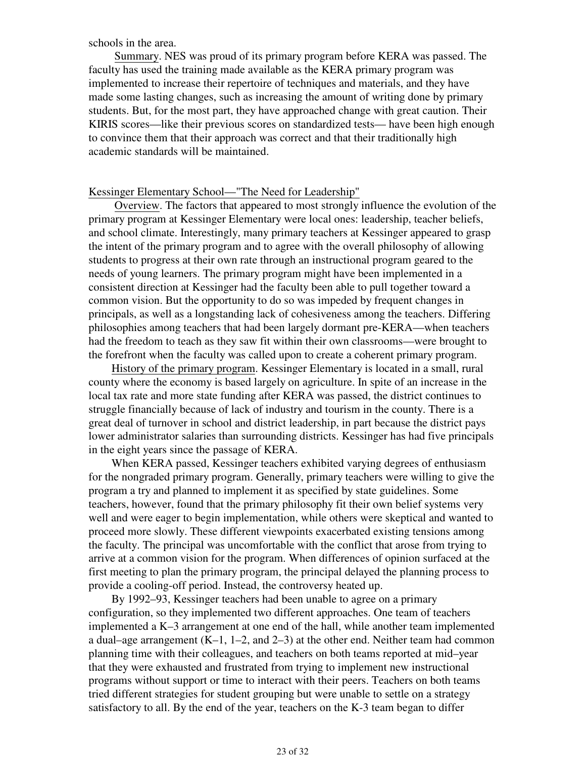schools in the area.

 Summary. NES was proud of its primary program before KERA was passed. The faculty has used the training made available as the KERA primary program was implemented to increase their repertoire of techniques and materials, and they have made some lasting changes, such as increasing the amount of writing done by primary students. But, for the most part, they have approached change with great caution. Their KIRIS scores—like their previous scores on standardized tests— have been high enough to convince them that their approach was correct and that their traditionally high academic standards will be maintained.

### Kessinger Elementary School—"The Need for Leadership"

 Overview. The factors that appeared to most strongly influence the evolution of the primary program at Kessinger Elementary were local ones: leadership, teacher beliefs, and school climate. Interestingly, many primary teachers at Kessinger appeared to grasp the intent of the primary program and to agree with the overall philosophy of allowing students to progress at their own rate through an instructional program geared to the needs of young learners. The primary program might have been implemented in a consistent direction at Kessinger had the faculty been able to pull together toward a common vision. But the opportunity to do so was impeded by frequent changes in principals, as well as a longstanding lack of cohesiveness among the teachers. Differing philosophies among teachers that had been largely dormant pre-KERA—when teachers had the freedom to teach as they saw fit within their own classrooms—were brought to the forefront when the faculty was called upon to create a coherent primary program.

 History of the primary program. Kessinger Elementary is located in a small, rural county where the economy is based largely on agriculture. In spite of an increase in the local tax rate and more state funding after KERA was passed, the district continues to struggle financially because of lack of industry and tourism in the county. There is a great deal of turnover in school and district leadership, in part because the district pays lower administrator salaries than surrounding districts. Kessinger has had five principals in the eight years since the passage of KERA.

 When KERA passed, Kessinger teachers exhibited varying degrees of enthusiasm for the nongraded primary program. Generally, primary teachers were willing to give the program a try and planned to implement it as specified by state guidelines. Some teachers, however, found that the primary philosophy fit their own belief systems very well and were eager to begin implementation, while others were skeptical and wanted to proceed more slowly. These different viewpoints exacerbated existing tensions among the faculty. The principal was uncomfortable with the conflict that arose from trying to arrive at a common vision for the program. When differences of opinion surfaced at the first meeting to plan the primary program, the principal delayed the planning process to provide a cooling-off period. Instead, the controversy heated up.

 By 1992–93, Kessinger teachers had been unable to agree on a primary configuration, so they implemented two different approaches. One team of teachers implemented a K–3 arrangement at one end of the hall, while another team implemented a dual–age arrangement (K–1, 1–2, and 2–3) at the other end. Neither team had common planning time with their colleagues, and teachers on both teams reported at mid–year that they were exhausted and frustrated from trying to implement new instructional programs without support or time to interact with their peers. Teachers on both teams tried different strategies for student grouping but were unable to settle on a strategy satisfactory to all. By the end of the year, teachers on the K-3 team began to differ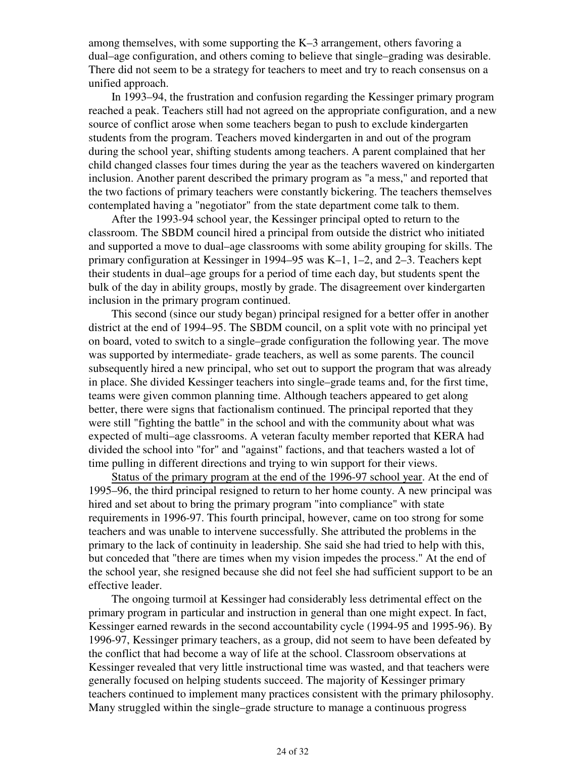among themselves, with some supporting the K–3 arrangement, others favoring a dual–age configuration, and others coming to believe that single–grading was desirable. There did not seem to be a strategy for teachers to meet and try to reach consensus on a unified approach.

 In 1993–94, the frustration and confusion regarding the Kessinger primary program reached a peak. Teachers still had not agreed on the appropriate configuration, and a new source of conflict arose when some teachers began to push to exclude kindergarten students from the program. Teachers moved kindergarten in and out of the program during the school year, shifting students among teachers. A parent complained that her child changed classes four times during the year as the teachers wavered on kindergarten inclusion. Another parent described the primary program as "a mess," and reported that the two factions of primary teachers were constantly bickering. The teachers themselves contemplated having a "negotiator" from the state department come talk to them.

 After the 1993-94 school year, the Kessinger principal opted to return to the classroom. The SBDM council hired a principal from outside the district who initiated and supported a move to dual–age classrooms with some ability grouping for skills. The primary configuration at Kessinger in 1994–95 was K–1, 1–2, and 2–3. Teachers kept their students in dual–age groups for a period of time each day, but students spent the bulk of the day in ability groups, mostly by grade. The disagreement over kindergarten inclusion in the primary program continued.

 This second (since our study began) principal resigned for a better offer in another district at the end of 1994–95. The SBDM council, on a split vote with no principal yet on board, voted to switch to a single–grade configuration the following year. The move was supported by intermediate- grade teachers, as well as some parents. The council subsequently hired a new principal, who set out to support the program that was already in place. She divided Kessinger teachers into single–grade teams and, for the first time, teams were given common planning time. Although teachers appeared to get along better, there were signs that factionalism continued. The principal reported that they were still "fighting the battle" in the school and with the community about what was expected of multi–age classrooms. A veteran faculty member reported that KERA had divided the school into "for" and "against" factions, and that teachers wasted a lot of time pulling in different directions and trying to win support for their views.

 Status of the primary program at the end of the 1996-97 school year. At the end of 1995–96, the third principal resigned to return to her home county. A new principal was hired and set about to bring the primary program "into compliance" with state requirements in 1996-97. This fourth principal, however, came on too strong for some teachers and was unable to intervene successfully. She attributed the problems in the primary to the lack of continuity in leadership. She said she had tried to help with this, but conceded that "there are times when my vision impedes the process." At the end of the school year, she resigned because she did not feel she had sufficient support to be an effective leader.

 The ongoing turmoil at Kessinger had considerably less detrimental effect on the primary program in particular and instruction in general than one might expect. In fact, Kessinger earned rewards in the second accountability cycle (1994-95 and 1995-96). By 1996-97, Kessinger primary teachers, as a group, did not seem to have been defeated by the conflict that had become a way of life at the school. Classroom observations at Kessinger revealed that very little instructional time was wasted, and that teachers were generally focused on helping students succeed. The majority of Kessinger primary teachers continued to implement many practices consistent with the primary philosophy. Many struggled within the single–grade structure to manage a continuous progress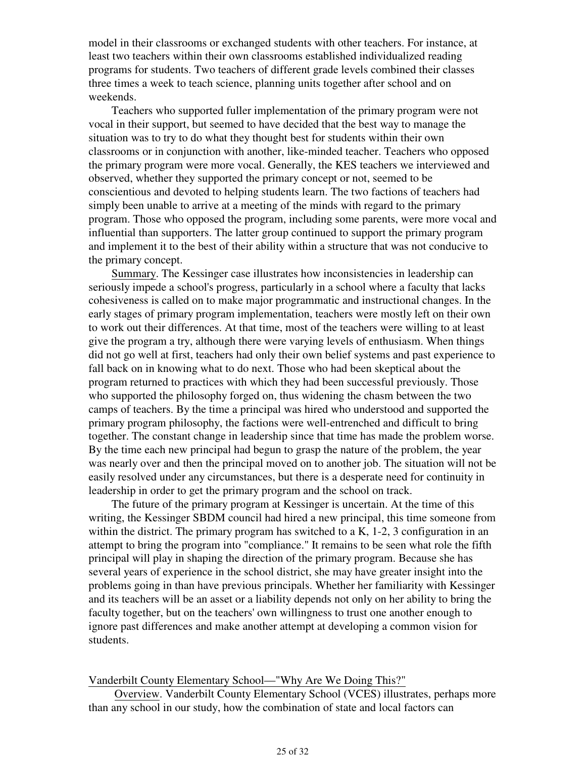model in their classrooms or exchanged students with other teachers. For instance, at least two teachers within their own classrooms established individualized reading programs for students. Two teachers of different grade levels combined their classes three times a week to teach science, planning units together after school and on weekends.

 Teachers who supported fuller implementation of the primary program were not vocal in their support, but seemed to have decided that the best way to manage the situation was to try to do what they thought best for students within their own classrooms or in conjunction with another, like-minded teacher. Teachers who opposed the primary program were more vocal. Generally, the KES teachers we interviewed and observed, whether they supported the primary concept or not, seemed to be conscientious and devoted to helping students learn. The two factions of teachers had simply been unable to arrive at a meeting of the minds with regard to the primary program. Those who opposed the program, including some parents, were more vocal and influential than supporters. The latter group continued to support the primary program and implement it to the best of their ability within a structure that was not conducive to the primary concept.

 Summary. The Kessinger case illustrates how inconsistencies in leadership can seriously impede a school's progress, particularly in a school where a faculty that lacks cohesiveness is called on to make major programmatic and instructional changes. In the early stages of primary program implementation, teachers were mostly left on their own to work out their differences. At that time, most of the teachers were willing to at least give the program a try, although there were varying levels of enthusiasm. When things did not go well at first, teachers had only their own belief systems and past experience to fall back on in knowing what to do next. Those who had been skeptical about the program returned to practices with which they had been successful previously. Those who supported the philosophy forged on, thus widening the chasm between the two camps of teachers. By the time a principal was hired who understood and supported the primary program philosophy, the factions were well-entrenched and difficult to bring together. The constant change in leadership since that time has made the problem worse. By the time each new principal had begun to grasp the nature of the problem, the year was nearly over and then the principal moved on to another job. The situation will not be easily resolved under any circumstances, but there is a desperate need for continuity in leadership in order to get the primary program and the school on track.

 The future of the primary program at Kessinger is uncertain. At the time of this writing, the Kessinger SBDM council had hired a new principal, this time someone from within the district. The primary program has switched to a K, 1-2, 3 configuration in an attempt to bring the program into "compliance." It remains to be seen what role the fifth principal will play in shaping the direction of the primary program. Because she has several years of experience in the school district, she may have greater insight into the problems going in than have previous principals. Whether her familiarity with Kessinger and its teachers will be an asset or a liability depends not only on her ability to bring the faculty together, but on the teachers' own willingness to trust one another enough to ignore past differences and make another attempt at developing a common vision for students.

### Vanderbilt County Elementary School—"Why Are We Doing This?"

 Overview. Vanderbilt County Elementary School (VCES) illustrates, perhaps more than any school in our study, how the combination of state and local factors can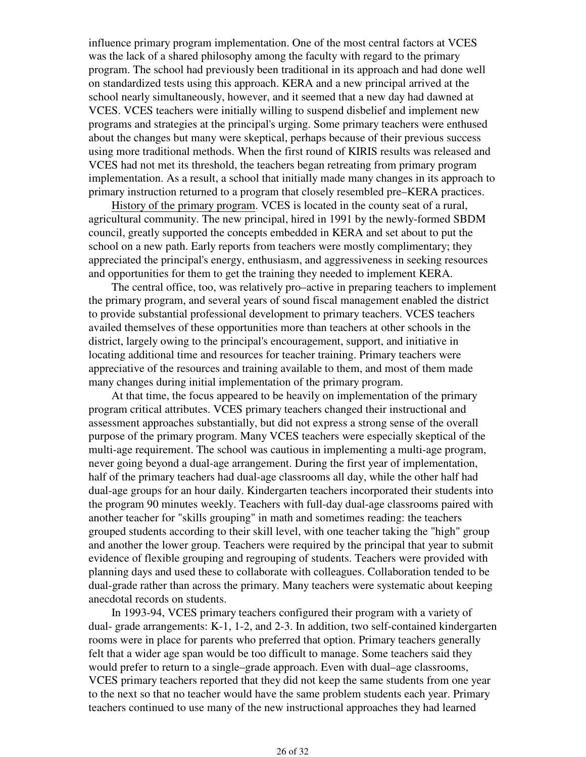influence primary program implementation. One of the most central factors at VCES was the lack of a shared philosophy among the faculty with regard to the primary program. The school had previously been traditional in its approach and had done well on standardized tests using this approach. KERA and a new principal arrived at the school nearly simultaneously, however, and it seemed that a new day had dawned at VCES. VCES teachers were initially willing to suspend disbelief and implement new programs and strategies at the principal's urging. Some primary teachers were enthused about the changes but many were skeptical, perhaps because of their previous success using more traditional methods. When the first round of KIRIS results was released and VCES had not met its threshold, the teachers began retreating from primary program implementation. As a result, a school that initially made many changes in its approach to primary instruction returned to a program that closely resembled pre–KERA practices.

 History of the primary program. VCES is located in the county seat of a rural, agricultural community. The new principal, hired in 1991 by the newly-formed SBDM council, greatly supported the concepts embedded in KERA and set about to put the school on a new path. Early reports from teachers were mostly complimentary; they appreciated the principal's energy, enthusiasm, and aggressiveness in seeking resources and opportunities for them to get the training they needed to implement KERA.

 The central office, too, was relatively pro–active in preparing teachers to implement the primary program, and several years of sound fiscal management enabled the district to provide substantial professional development to primary teachers. VCES teachers availed themselves of these opportunities more than teachers at other schools in the district, largely owing to the principal's encouragement, support, and initiative in locating additional time and resources for teacher training. Primary teachers were appreciative of the resources and training available to them, and most of them made many changes during initial implementation of the primary program.

 At that time, the focus appeared to be heavily on implementation of the primary program critical attributes. VCES primary teachers changed their instructional and assessment approaches substantially, but did not express a strong sense of the overall purpose of the primary program. Many VCES teachers were especially skeptical of the multi-age requirement. The school was cautious in implementing a multi-age program, never going beyond a dual-age arrangement. During the first year of implementation, half of the primary teachers had dual-age classrooms all day, while the other half had dual-age groups for an hour daily. Kindergarten teachers incorporated their students into the program 90 minutes weekly. Teachers with full-day dual-age classrooms paired with another teacher for "skills grouping" in math and sometimes reading: the teachers grouped students according to their skill level, with one teacher taking the "high" group and another the lower group. Teachers were required by the principal that year to submit evidence of flexible grouping and regrouping of students. Teachers were provided with planning days and used these to collaborate with colleagues. Collaboration tended to be dual-grade rather than across the primary. Many teachers were systematic about keeping anecdotal records on students.

 In 1993-94, VCES primary teachers configured their program with a variety of dual- grade arrangements: K-1, 1-2, and 2-3. In addition, two self-contained kindergarten rooms were in place for parents who preferred that option. Primary teachers generally felt that a wider age span would be too difficult to manage. Some teachers said they would prefer to return to a single–grade approach. Even with dual–age classrooms, VCES primary teachers reported that they did not keep the same students from one year to the next so that no teacher would have the same problem students each year. Primary teachers continued to use many of the new instructional approaches they had learned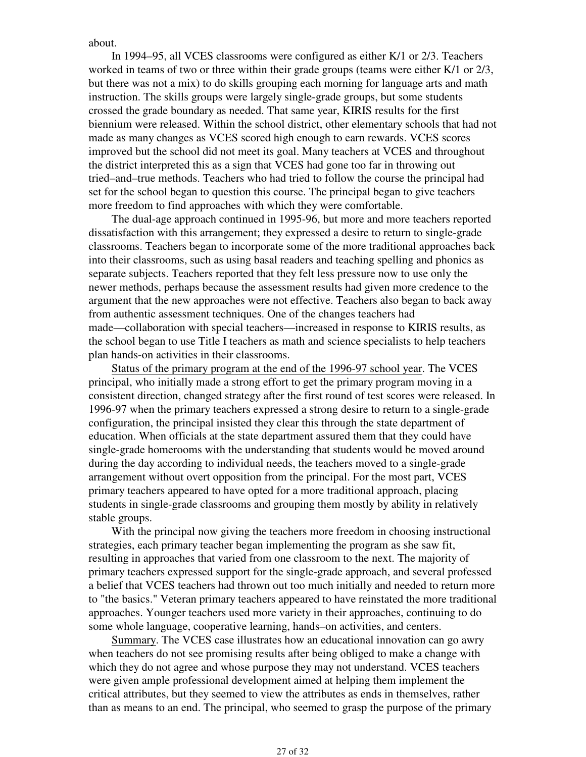about.

 In 1994–95, all VCES classrooms were configured as either K/1 or 2/3. Teachers worked in teams of two or three within their grade groups (teams were either K/1 or 2/3, but there was not a mix) to do skills grouping each morning for language arts and math instruction. The skills groups were largely single-grade groups, but some students crossed the grade boundary as needed. That same year, KIRIS results for the first biennium were released. Within the school district, other elementary schools that had not made as many changes as VCES scored high enough to earn rewards. VCES scores improved but the school did not meet its goal. Many teachers at VCES and throughout the district interpreted this as a sign that VCES had gone too far in throwing out tried–and–true methods. Teachers who had tried to follow the course the principal had set for the school began to question this course. The principal began to give teachers more freedom to find approaches with which they were comfortable.

 The dual-age approach continued in 1995-96, but more and more teachers reported dissatisfaction with this arrangement; they expressed a desire to return to single-grade classrooms. Teachers began to incorporate some of the more traditional approaches back into their classrooms, such as using basal readers and teaching spelling and phonics as separate subjects. Teachers reported that they felt less pressure now to use only the newer methods, perhaps because the assessment results had given more credence to the argument that the new approaches were not effective. Teachers also began to back away from authentic assessment techniques. One of the changes teachers had made—collaboration with special teachers—increased in response to KIRIS results, as the school began to use Title I teachers as math and science specialists to help teachers plan hands-on activities in their classrooms.

 Status of the primary program at the end of the 1996-97 school year. The VCES principal, who initially made a strong effort to get the primary program moving in a consistent direction, changed strategy after the first round of test scores were released. In 1996-97 when the primary teachers expressed a strong desire to return to a single-grade configuration, the principal insisted they clear this through the state department of education. When officials at the state department assured them that they could have single-grade homerooms with the understanding that students would be moved around during the day according to individual needs, the teachers moved to a single-grade arrangement without overt opposition from the principal. For the most part, VCES primary teachers appeared to have opted for a more traditional approach, placing students in single-grade classrooms and grouping them mostly by ability in relatively stable groups.

 With the principal now giving the teachers more freedom in choosing instructional strategies, each primary teacher began implementing the program as she saw fit, resulting in approaches that varied from one classroom to the next. The majority of primary teachers expressed support for the single-grade approach, and several professed a belief that VCES teachers had thrown out too much initially and needed to return more to "the basics." Veteran primary teachers appeared to have reinstated the more traditional approaches. Younger teachers used more variety in their approaches, continuing to do some whole language, cooperative learning, hands–on activities, and centers.

 Summary. The VCES case illustrates how an educational innovation can go awry when teachers do not see promising results after being obliged to make a change with which they do not agree and whose purpose they may not understand. VCES teachers were given ample professional development aimed at helping them implement the critical attributes, but they seemed to view the attributes as ends in themselves, rather than as means to an end. The principal, who seemed to grasp the purpose of the primary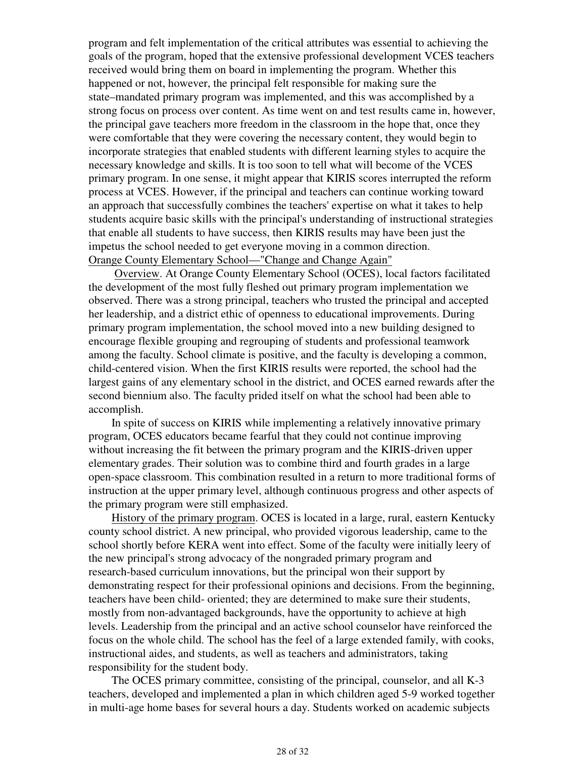program and felt implementation of the critical attributes was essential to achieving the goals of the program, hoped that the extensive professional development VCES teachers received would bring them on board in implementing the program. Whether this happened or not, however, the principal felt responsible for making sure the state–mandated primary program was implemented, and this was accomplished by a strong focus on process over content. As time went on and test results came in, however, the principal gave teachers more freedom in the classroom in the hope that, once they were comfortable that they were covering the necessary content, they would begin to incorporate strategies that enabled students with different learning styles to acquire the necessary knowledge and skills. It is too soon to tell what will become of the VCES primary program. In one sense, it might appear that KIRIS scores interrupted the reform process at VCES. However, if the principal and teachers can continue working toward an approach that successfully combines the teachers' expertise on what it takes to help students acquire basic skills with the principal's understanding of instructional strategies that enable all students to have success, then KIRIS results may have been just the impetus the school needed to get everyone moving in a common direction. Orange County Elementary School—"Change and Change Again"

 Overview. At Orange County Elementary School (OCES), local factors facilitated the development of the most fully fleshed out primary program implementation we observed. There was a strong principal, teachers who trusted the principal and accepted her leadership, and a district ethic of openness to educational improvements. During primary program implementation, the school moved into a new building designed to encourage flexible grouping and regrouping of students and professional teamwork among the faculty. School climate is positive, and the faculty is developing a common, child-centered vision. When the first KIRIS results were reported, the school had the largest gains of any elementary school in the district, and OCES earned rewards after the second biennium also. The faculty prided itself on what the school had been able to accomplish.

 In spite of success on KIRIS while implementing a relatively innovative primary program, OCES educators became fearful that they could not continue improving without increasing the fit between the primary program and the KIRIS-driven upper elementary grades. Their solution was to combine third and fourth grades in a large open-space classroom. This combination resulted in a return to more traditional forms of instruction at the upper primary level, although continuous progress and other aspects of the primary program were still emphasized.

 History of the primary program. OCES is located in a large, rural, eastern Kentucky county school district. A new principal, who provided vigorous leadership, came to the school shortly before KERA went into effect. Some of the faculty were initially leery of the new principal's strong advocacy of the nongraded primary program and research-based curriculum innovations, but the principal won their support by demonstrating respect for their professional opinions and decisions. From the beginning, teachers have been child- oriented; they are determined to make sure their students, mostly from non-advantaged backgrounds, have the opportunity to achieve at high levels. Leadership from the principal and an active school counselor have reinforced the focus on the whole child. The school has the feel of a large extended family, with cooks, instructional aides, and students, as well as teachers and administrators, taking responsibility for the student body.

 The OCES primary committee, consisting of the principal, counselor, and all K-3 teachers, developed and implemented a plan in which children aged 5-9 worked together in multi-age home bases for several hours a day. Students worked on academic subjects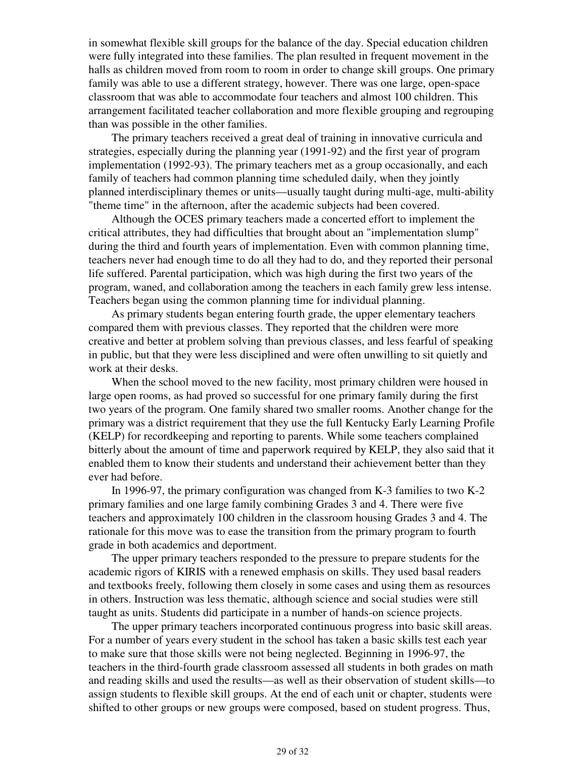in somewhat flexible skill groups for the balance of the day. Special education children were fully integrated into these families. The plan resulted in frequent movement in the halls as children moved from room to room in order to change skill groups. One primary family was able to use a different strategy, however. There was one large, open-space classroom that was able to accommodate four teachers and almost 100 children. This arrangement facilitated teacher collaboration and more flexible grouping and regrouping than was possible in the other families.

 The primary teachers received a great deal of training in innovative curricula and strategies, especially during the planning year (1991-92) and the first year of program implementation (1992-93). The primary teachers met as a group occasionally, and each family of teachers had common planning time scheduled daily, when they jointly planned interdisciplinary themes or units—usually taught during multi-age, multi-ability "theme time" in the afternoon, after the academic subjects had been covered.

 Although the OCES primary teachers made a concerted effort to implement the critical attributes, they had difficulties that brought about an "implementation slump" during the third and fourth years of implementation. Even with common planning time, teachers never had enough time to do all they had to do, and they reported their personal life suffered. Parental participation, which was high during the first two years of the program, waned, and collaboration among the teachers in each family grew less intense. Teachers began using the common planning time for individual planning.

 As primary students began entering fourth grade, the upper elementary teachers compared them with previous classes. They reported that the children were more creative and better at problem solving than previous classes, and less fearful of speaking in public, but that they were less disciplined and were often unwilling to sit quietly and work at their desks.

 When the school moved to the new facility, most primary children were housed in large open rooms, as had proved so successful for one primary family during the first two years of the program. One family shared two smaller rooms. Another change for the primary was a district requirement that they use the full Kentucky Early Learning Profile (KELP) for recordkeeping and reporting to parents. While some teachers complained bitterly about the amount of time and paperwork required by KELP, they also said that it enabled them to know their students and understand their achievement better than they ever had before.

 In 1996-97, the primary configuration was changed from K-3 families to two K-2 primary families and one large family combining Grades 3 and 4. There were five teachers and approximately 100 children in the classroom housing Grades 3 and 4. The rationale for this move was to ease the transition from the primary program to fourth grade in both academics and deportment.

 The upper primary teachers responded to the pressure to prepare students for the academic rigors of KIRIS with a renewed emphasis on skills. They used basal readers and textbooks freely, following them closely in some cases and using them as resources in others. Instruction was less thematic, although science and social studies were still taught as units. Students did participate in a number of hands-on science projects.

 The upper primary teachers incorporated continuous progress into basic skill areas. For a number of years every student in the school has taken a basic skills test each year to make sure that those skills were not being neglected. Beginning in 1996-97, the teachers in the third-fourth grade classroom assessed all students in both grades on math and reading skills and used the results—as well as their observation of student skills—to assign students to flexible skill groups. At the end of each unit or chapter, students were shifted to other groups or new groups were composed, based on student progress. Thus,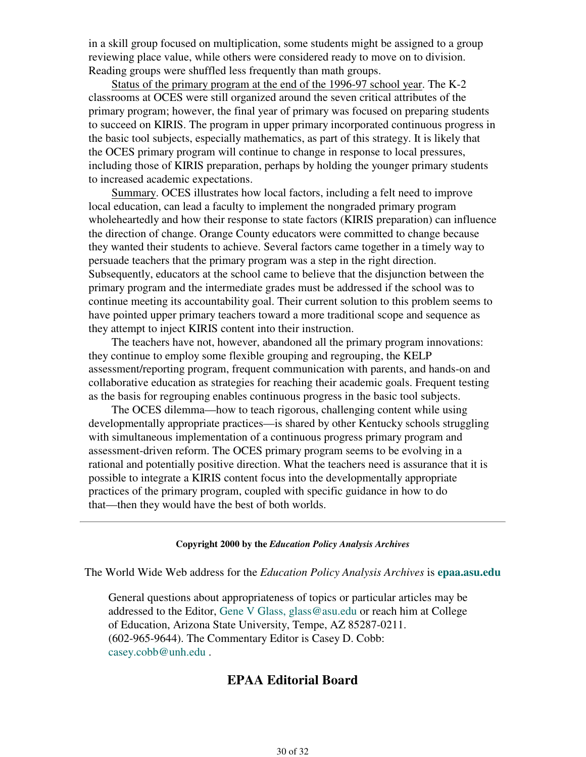in a skill group focused on multiplication, some students might be assigned to a group reviewing place value, while others were considered ready to move on to division. Reading groups were shuffled less frequently than math groups.

 Status of the primary program at the end of the 1996-97 school year. The K-2 classrooms at OCES were still organized around the seven critical attributes of the primary program; however, the final year of primary was focused on preparing students to succeed on KIRIS. The program in upper primary incorporated continuous progress in the basic tool subjects, especially mathematics, as part of this strategy. It is likely that the OCES primary program will continue to change in response to local pressures, including those of KIRIS preparation, perhaps by holding the younger primary students to increased academic expectations.

 Summary. OCES illustrates how local factors, including a felt need to improve local education, can lead a faculty to implement the nongraded primary program wholeheartedly and how their response to state factors (KIRIS preparation) can influence the direction of change. Orange County educators were committed to change because they wanted their students to achieve. Several factors came together in a timely way to persuade teachers that the primary program was a step in the right direction. Subsequently, educators at the school came to believe that the disjunction between the primary program and the intermediate grades must be addressed if the school was to continue meeting its accountability goal. Their current solution to this problem seems to have pointed upper primary teachers toward a more traditional scope and sequence as they attempt to inject KIRIS content into their instruction.

 The teachers have not, however, abandoned all the primary program innovations: they continue to employ some flexible grouping and regrouping, the KELP assessment/reporting program, frequent communication with parents, and hands-on and collaborative education as strategies for reaching their academic goals. Frequent testing as the basis for regrouping enables continuous progress in the basic tool subjects.

 The OCES dilemma—how to teach rigorous, challenging content while using developmentally appropriate practices—is shared by other Kentucky schools struggling with simultaneous implementation of a continuous progress primary program and assessment-driven reform. The OCES primary program seems to be evolving in a rational and potentially positive direction. What the teachers need is assurance that it is possible to integrate a KIRIS content focus into the developmentally appropriate practices of the primary program, coupled with specific guidance in how to do that—then they would have the best of both worlds.

#### **Copyright 2000 by the** *Education Policy Analysis Archives*

The World Wide Web address for the *Education Policy Analysis Archives* is **epaa.asu.edu**

General questions about appropriateness of topics or particular articles may be addressed to the Editor, Gene V Glass, glass@asu.edu or reach him at College of Education, Arizona State University, Tempe, AZ 85287-0211. (602-965-9644). The Commentary Editor is Casey D. Cobb: casey.cobb@unh.edu .

## **EPAA Editorial Board**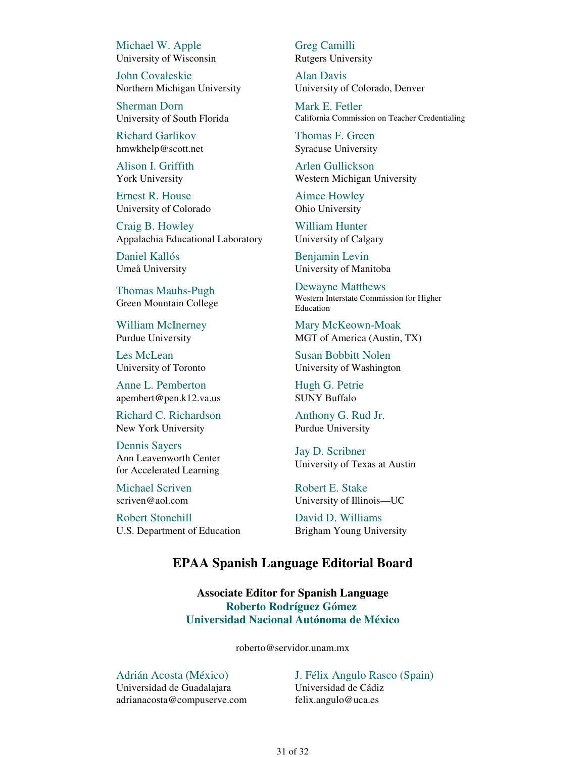Michael W. Apple University of Wisconsin

John Covaleskie Northern Michigan University

Sherman Dorn University of South Florida

Richard Garlikov hmwkhelp@scott.net

Alison I. Griffith York University

Ernest R. House University of Colorado

Craig B. Howley Appalachia Educational Laboratory

Daniel Kallós Umeå University

Thomas Mauhs-Pugh Green Mountain College

William McInerney Purdue University

Les McLean University of Toronto

Anne L. Pemberton apembert@pen.k12.va.us

Richard C. Richardson New York University

Dennis Sayers Ann Leavenworth Center for Accelerated Learning

Michael Scriven scriven@aol.com

Robert Stonehill U.S. Department of Education Greg Camilli Rutgers University

Alan Davis University of Colorado, Denver

Mark E. Fetler California Commission on Teacher Credentialing

Thomas F. Green Syracuse University

Arlen Gullickson Western Michigan University

Aimee Howley Ohio University

William Hunter University of Calgary

Benjamin Levin University of Manitoba

Dewayne Matthews Western Interstate Commission for Higher Education

Mary McKeown-Moak MGT of America (Austin, TX)

Susan Bobbitt Nolen University of Washington

Hugh G. Petrie SUNY Buffalo

Anthony G. Rud Jr. Purdue University

Jay D. Scribner University of Texas at Austin

Robert E. Stake University of Illinois—UC

David D. Williams Brigham Young University

## **EPAA Spanish Language Editorial Board**

**Associate Editor for Spanish Language Roberto Rodríguez Gómez Universidad Nacional Autónoma de México**

roberto@servidor.unam.mx

Adrián Acosta (México)

Universidad de Guadalajara adrianacosta@compuserve.com J. Félix Angulo Rasco (Spain) Universidad de Cádiz felix.angulo@uca.es